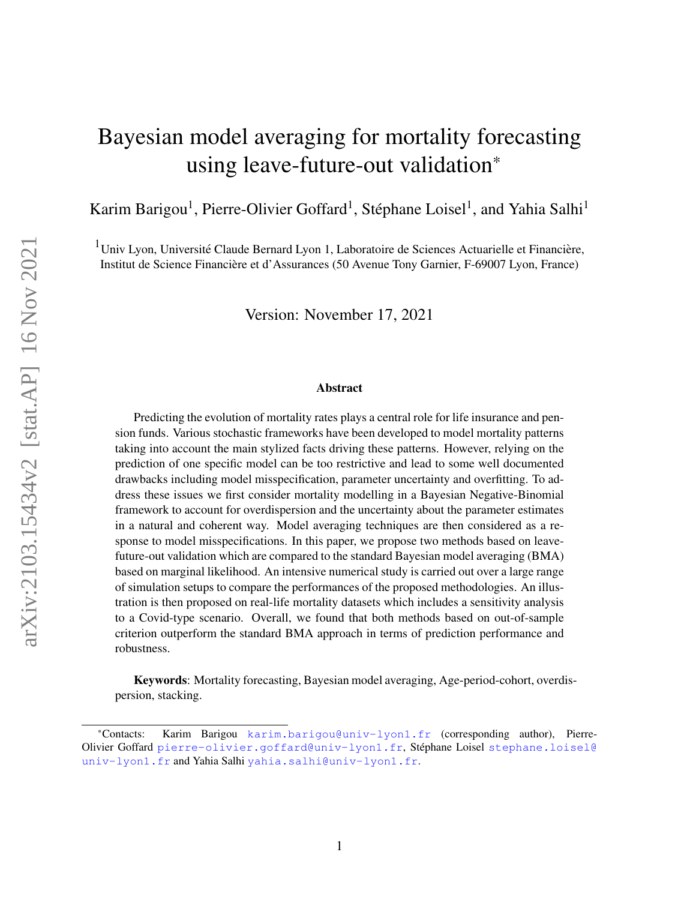# <span id="page-0-0"></span>Bayesian model averaging for mortality forecasting using leave-future-out validation\*

Karim Barigou<sup>1</sup>, Pierre-Olivier Goffard<sup>1</sup>, Stéphane Loisel<sup>1</sup>, and Yahia Salhi<sup>1</sup>

 $1$ Univ Lyon, Université Claude Bernard Lyon 1, Laboratoire de Sciences Actuarielle et Financière, Institut de Science Financiere et d'Assurances (50 Avenue Tony Garnier, F-69007 Lyon, France) `

Version: November 17, 2021

#### Abstract

Predicting the evolution of mortality rates plays a central role for life insurance and pension funds. Various stochastic frameworks have been developed to model mortality patterns taking into account the main stylized facts driving these patterns. However, relying on the prediction of one specific model can be too restrictive and lead to some well documented drawbacks including model misspecification, parameter uncertainty and overfitting. To address these issues we first consider mortality modelling in a Bayesian Negative-Binomial framework to account for overdispersion and the uncertainty about the parameter estimates in a natural and coherent way. Model averaging techniques are then considered as a response to model misspecifications. In this paper, we propose two methods based on leavefuture-out validation which are compared to the standard Bayesian model averaging (BMA) based on marginal likelihood. An intensive numerical study is carried out over a large range of simulation setups to compare the performances of the proposed methodologies. An illustration is then proposed on real-life mortality datasets which includes a sensitivity analysis to a Covid-type scenario. Overall, we found that both methods based on out-of-sample criterion outperform the standard BMA approach in terms of prediction performance and robustness.

Keywords: Mortality forecasting, Bayesian model averaging, Age-period-cohort, overdispersion, stacking.

<sup>\*</sup>Contacts: Karim Barigou <karim.barigou@univ-lyon1.fr> (corresponding author), PierreOlivier Goffard <pierre-olivier.goffard@univ-lyon1.fr>, Stéphane Loisel [stephane.loisel@](stephane.loisel@univ-lyon1.fr) [univ-lyon1.fr](stephane.loisel@univ-lyon1.fr) and Yahia Salhi <yahia.salhi@univ-lyon1.fr>.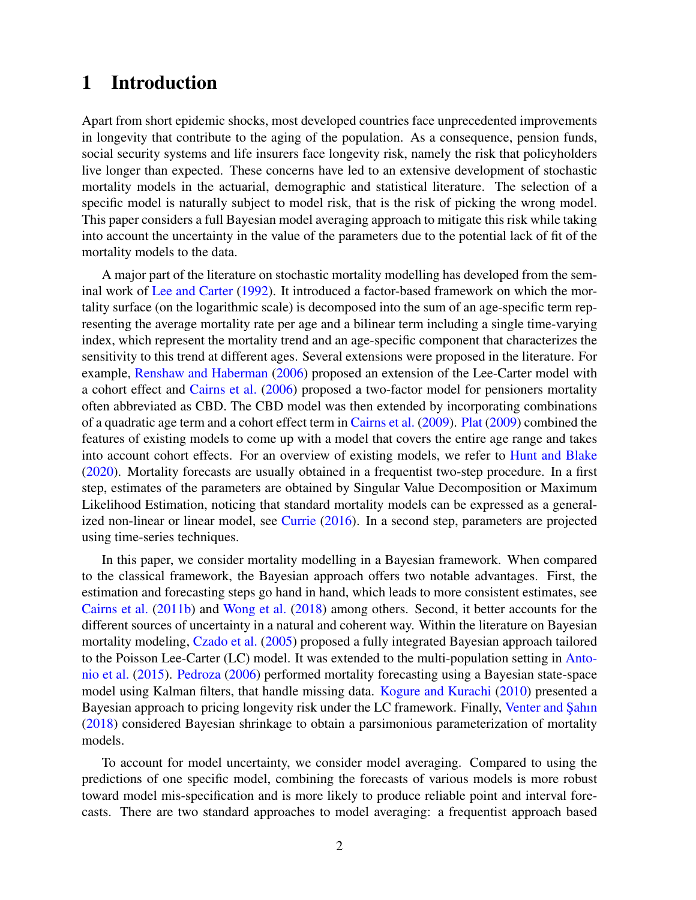# 1 Introduction

Apart from short epidemic shocks, most developed countries face unprecedented improvements in longevity that contribute to the aging of the population. As a consequence, pension funds, social security systems and life insurers face longevity risk, namely the risk that policyholders live longer than expected. These concerns have led to an extensive development of stochastic mortality models in the actuarial, demographic and statistical literature. The selection of a specific model is naturally subject to model risk, that is the risk of picking the wrong model. This paper considers a full Bayesian model averaging approach to mitigate this risk while taking into account the uncertainty in the value of the parameters due to the potential lack of fit of the mortality models to the data.

A major part of the literature on stochastic mortality modelling has developed from the seminal work of [Lee and Carter](#page-30-0) [\(1992\)](#page-30-0). It introduced a factor-based framework on which the mortality surface (on the logarithmic scale) is decomposed into the sum of an age-specific term representing the average mortality rate per age and a bilinear term including a single time-varying index, which represent the mortality trend and an age-specific component that characterizes the sensitivity to this trend at different ages. Several extensions were proposed in the literature. For example, [Renshaw and Haberman](#page-30-1) [\(2006\)](#page-30-1) proposed an extension of the Lee-Carter model with a cohort effect and [Cairns et al.](#page-28-0) [\(2006\)](#page-28-0) proposed a two-factor model for pensioners mortality often abbreviated as CBD. The CBD model was then extended by incorporating combinations of a quadratic age term and a cohort effect term in [Cairns et al.](#page-28-1) [\(2009\)](#page-28-1). [Plat](#page-30-2) [\(2009\)](#page-30-2) combined the features of existing models to come up with a model that covers the entire age range and takes into account cohort effects. For an overview of existing models, we refer to [Hunt and Blake](#page-29-0) [\(2020\)](#page-29-0). Mortality forecasts are usually obtained in a frequentist two-step procedure. In a first step, estimates of the parameters are obtained by Singular Value Decomposition or Maximum Likelihood Estimation, noticing that standard mortality models can be expressed as a generalized non-linear or linear model, see [Currie](#page-29-1) [\(2016\)](#page-29-1). In a second step, parameters are projected using time-series techniques.

In this paper, we consider mortality modelling in a Bayesian framework. When compared to the classical framework, the Bayesian approach offers two notable advantages. First, the estimation and forecasting steps go hand in hand, which leads to more consistent estimates, see [Cairns et al.](#page-28-2) [\(2011b\)](#page-28-2) and [Wong et al.](#page-31-0) [\(2018\)](#page-31-0) among others. Second, it better accounts for the different sources of uncertainty in a natural and coherent way. Within the literature on Bayesian mortality modeling, [Czado et al.](#page-29-2) [\(2005\)](#page-29-2) proposed a fully integrated Bayesian approach tailored to the Poisson Lee-Carter (LC) model. It was extended to the multi-population setting in [Anto](#page-28-3)[nio et al.](#page-28-3) [\(2015\)](#page-28-3). [Pedroza](#page-30-3) [\(2006\)](#page-30-3) performed mortality forecasting using a Bayesian state-space model using Kalman filters, that handle missing data. [Kogure and Kurachi](#page-30-4) [\(2010\)](#page-30-4) presented a Bayesian approach to pricing longevity risk under the LC framework. Finally, Venter and Sahin [\(2018\)](#page-31-1) considered Bayesian shrinkage to obtain a parsimonious parameterization of mortality models.

To account for model uncertainty, we consider model averaging. Compared to using the predictions of one specific model, combining the forecasts of various models is more robust toward model mis-specification and is more likely to produce reliable point and interval forecasts. There are two standard approaches to model averaging: a frequentist approach based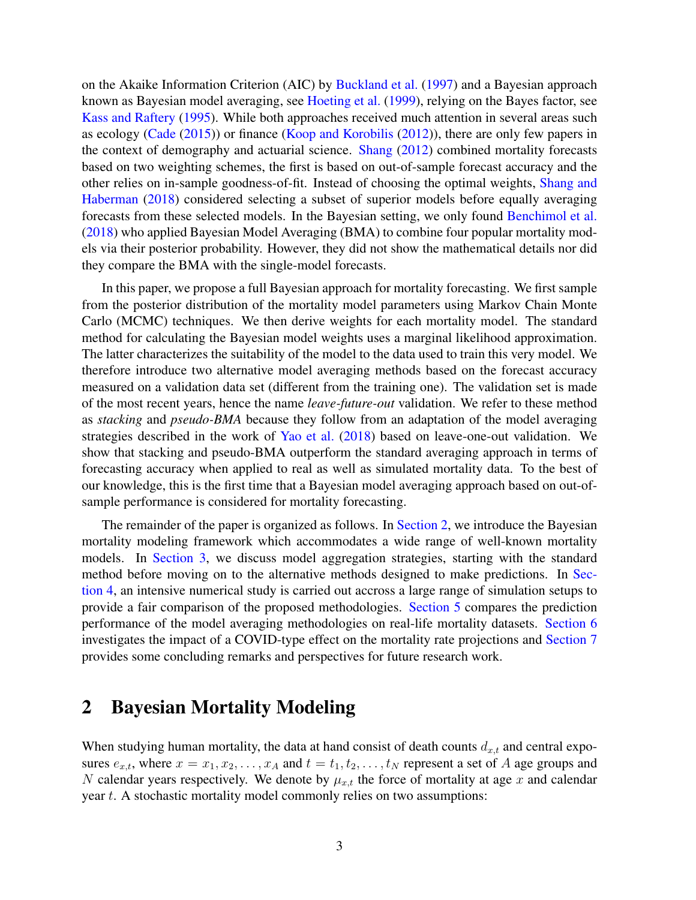on the Akaike Information Criterion (AIC) by [Buckland et al.](#page-28-4) [\(1997\)](#page-28-4) and a Bayesian approach known as Bayesian model averaging, see [Hoeting et al.](#page-29-3) [\(1999\)](#page-29-3), relying on the Bayes factor, see [Kass and Raftery](#page-30-5) [\(1995\)](#page-30-5). While both approaches received much attention in several areas such as ecology [\(Cade](#page-28-5) [\(2015\)](#page-28-5)) or finance [\(Koop and Korobilis](#page-30-6) [\(2012\)](#page-30-6)), there are only few papers in the context of demography and actuarial science. [Shang](#page-30-7) [\(2012\)](#page-30-7) combined mortality forecasts based on two weighting schemes, the first is based on out-of-sample forecast accuracy and the other relies on in-sample goodness-of-fit. Instead of choosing the optimal weights, [Shang and](#page-30-8) [Haberman](#page-30-8) [\(2018\)](#page-30-8) considered selecting a subset of superior models before equally averaging forecasts from these selected models. In the Bayesian setting, we only found [Benchimol et al.](#page-28-6) [\(2018\)](#page-28-6) who applied Bayesian Model Averaging (BMA) to combine four popular mortality models via their posterior probability. However, they did not show the mathematical details nor did they compare the BMA with the single-model forecasts.

In this paper, we propose a full Bayesian approach for mortality forecasting. We first sample from the posterior distribution of the mortality model parameters using Markov Chain Monte Carlo (MCMC) techniques. We then derive weights for each mortality model. The standard method for calculating the Bayesian model weights uses a marginal likelihood approximation. The latter characterizes the suitability of the model to the data used to train this very model. We therefore introduce two alternative model averaging methods based on the forecast accuracy measured on a validation data set (different from the training one). The validation set is made of the most recent years, hence the name *leave-future-out* validation. We refer to these method as *stacking* and *pseudo-BMA* because they follow from an adaptation of the model averaging strategies described in the work of [Yao et al.](#page-31-2) [\(2018\)](#page-31-2) based on leave-one-out validation. We show that stacking and pseudo-BMA outperform the standard averaging approach in terms of forecasting accuracy when applied to real as well as simulated mortality data. To the best of our knowledge, this is the first time that a Bayesian model averaging approach based on out-ofsample performance is considered for mortality forecasting.

The remainder of the paper is organized as follows. In [Section 2,](#page-2-0) we introduce the Bayesian mortality modeling framework which accommodates a wide range of well-known mortality models. In [Section 3,](#page-7-0) we discuss model aggregation strategies, starting with the standard method before moving on to the alternative methods designed to make predictions. In [Sec](#page-11-0)[tion 4,](#page-11-0) an intensive numerical study is carried out accross a large range of simulation setups to provide a fair comparison of the proposed methodologies. [Section 5](#page-16-0) compares the prediction performance of the model averaging methodologies on real-life mortality datasets. [Section 6](#page-24-0) investigates the impact of a COVID-type effect on the mortality rate projections and [Section 7](#page-25-0) provides some concluding remarks and perspectives for future research work.

# <span id="page-2-0"></span>2 Bayesian Mortality Modeling

When studying human mortality, the data at hand consist of death counts  $d_{x,t}$  and central exposures  $e_{x,t}$ , where  $x = x_1, x_2, \ldots, x_A$  and  $t = t_1, t_2, \ldots, t_N$  represent a set of A age groups and N calendar years respectively. We denote by  $\mu_{x,t}$  the force of mortality at age x and calendar year t. A stochastic mortality model commonly relies on two assumptions: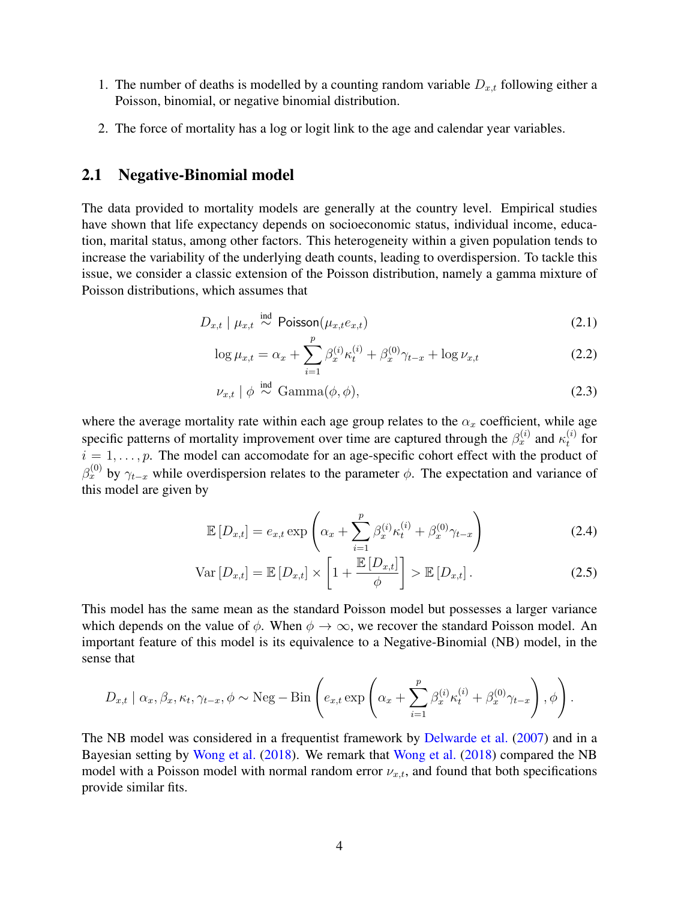- 1. The number of deaths is modelled by a counting random variable  $D_{x,t}$  following either a Poisson, binomial, or negative binomial distribution.
- 2. The force of mortality has a log or logit link to the age and calendar year variables.

### 2.1 Negative-Binomial model

The data provided to mortality models are generally at the country level. Empirical studies have shown that life expectancy depends on socioeconomic status, individual income, education, marital status, among other factors. This heterogeneity within a given population tends to increase the variability of the underlying death counts, leading to overdispersion. To tackle this issue, we consider a classic extension of the Poisson distribution, namely a gamma mixture of Poisson distributions, which assumes that

$$
D_{x,t} \mid \mu_{x,t} \stackrel{\text{ind}}{\sim} \text{Poisson}(\mu_{x,t} e_{x,t}) \tag{2.1}
$$

$$
\log \mu_{x,t} = \alpha_x + \sum_{i=1}^p \beta_x^{(i)} \kappa_t^{(i)} + \beta_x^{(0)} \gamma_{t-x} + \log \nu_{x,t}
$$
 (2.2)

$$
\nu_{x,t} \mid \phi \stackrel{\text{ind}}{\sim} \text{Gamma}(\phi, \phi), \tag{2.3}
$$

where the average mortality rate within each age group relates to the  $\alpha_x$  coefficient, while age specific patterns of mortality improvement over time are captured through the  $\beta_x^{(i)}$  and  $\kappa_t^{(i)}$  $t^{(i)}$  for  $i = 1, \ldots, p$ . The model can accomodate for an age-specific cohort effect with the product of  $\beta_x^{(0)}$  by  $\gamma_{t-x}$  while overdispersion relates to the parameter  $\phi$ . The expectation and variance of this model are given by

<span id="page-3-0"></span>
$$
\mathbb{E}\left[D_{x,t}\right] = e_{x,t} \exp\left(\alpha_x + \sum_{i=1}^p \beta_x^{(i)} \kappa_t^{(i)} + \beta_x^{(0)} \gamma_{t-x}\right) \tag{2.4}
$$

$$
\text{Var}\left[D_{x,t}\right] = \mathbb{E}\left[D_{x,t}\right] \times \left[1 + \frac{\mathbb{E}\left[D_{x,t}\right]}{\phi}\right] > \mathbb{E}\left[D_{x,t}\right].\tag{2.5}
$$

This model has the same mean as the standard Poisson model but possesses a larger variance which depends on the value of  $\phi$ . When  $\phi \to \infty$ , we recover the standard Poisson model. An important feature of this model is its equivalence to a Negative-Binomial (NB) model, in the sense that

$$
D_{x,t} | \alpha_x, \beta_x, \kappa_t, \gamma_{t-x}, \phi \sim \text{Neg} - \text{Bin}\left(e_{x,t} \exp\left(\alpha_x + \sum_{i=1}^p \beta_x^{(i)} \kappa_t^{(i)} + \beta_x^{(0)} \gamma_{t-x}\right), \phi\right).
$$

The NB model was considered in a frequentist framework by [Delwarde et al.](#page-29-4) [\(2007\)](#page-29-4) and in a Bayesian setting by [Wong et al.](#page-31-0) [\(2018\)](#page-31-0). We remark that [Wong et al.](#page-31-0) [\(2018\)](#page-31-0) compared the NB model with a Poisson model with normal random error  $\nu_{x,t}$ , and found that both specifications provide similar fits.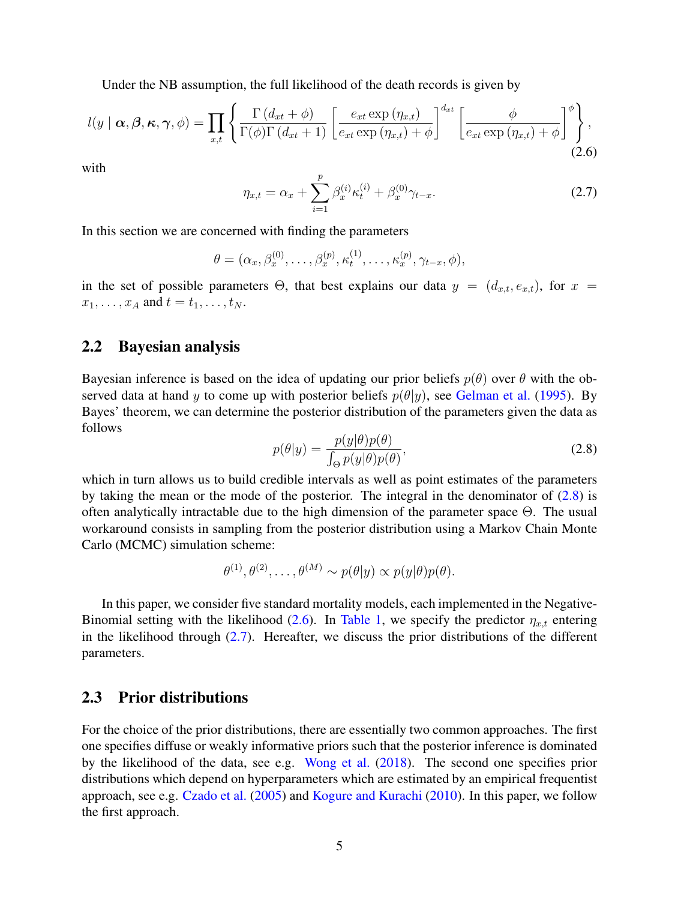Under the NB assumption, the full likelihood of the death records is given by

<span id="page-4-1"></span>
$$
l(y | \boldsymbol{\alpha}, \boldsymbol{\beta}, \boldsymbol{\kappa}, \boldsymbol{\gamma}, \phi) = \prod_{x,t} \left\{ \frac{\Gamma(d_{xt} + \phi)}{\Gamma(\phi)\Gamma(d_{xt} + 1)} \left[ \frac{e_{xt} \exp(\eta_{x,t})}{e_{xt} \exp(\eta_{x,t}) + \phi} \right]^{d_{xt}} \left[ \frac{\phi}{e_{xt} \exp(\eta_{x,t}) + \phi} \right]^{\phi} \right\},\tag{2.6}
$$

with

<span id="page-4-2"></span>
$$
\eta_{x,t} = \alpha_x + \sum_{i=1}^p \beta_x^{(i)} \kappa_t^{(i)} + \beta_x^{(0)} \gamma_{t-x}.
$$
\n(2.7)

In this section we are concerned with finding the parameters

$$
\theta = (\alpha_x, \beta_x^{(0)}, \dots, \beta_x^{(p)}, \kappa_t^{(1)}, \dots, \kappa_x^{(p)}, \gamma_{t-x}, \phi),
$$

in the set of possible parameters  $\Theta$ , that best explains our data  $y = (d_{x,t}, e_{x,t})$ , for  $x =$  $x_1, \ldots, x_A$  and  $t = t_1, \ldots, t_N$ .

## 2.2 Bayesian analysis

Bayesian inference is based on the idea of updating our prior beliefs  $p(\theta)$  over  $\theta$  with the observed data at hand y to come up with posterior beliefs  $p(\theta|y)$ , see [Gelman et al.](#page-29-5) [\(1995\)](#page-29-5). By Bayes' theorem, we can determine the posterior distribution of the parameters given the data as follows

<span id="page-4-0"></span>
$$
p(\theta|y) = \frac{p(y|\theta)p(\theta)}{\int_{\Theta} p(y|\theta)p(\theta)},
$$
\n(2.8)

which in turn allows us to build credible intervals as well as point estimates of the parameters by taking the mean or the mode of the posterior. The integral in the denominator of  $(2.8)$  is often analytically intractable due to the high dimension of the parameter space Θ. The usual workaround consists in sampling from the posterior distribution using a Markov Chain Monte Carlo (MCMC) simulation scheme:

$$
\theta^{(1)}, \theta^{(2)}, \dots, \theta^{(M)} \sim p(\theta | y) \propto p(y | \theta) p(\theta).
$$

In this paper, we consider five standard mortality models, each implemented in the Negative-Binomial setting with the likelihood [\(2.6\)](#page-4-1). In [Table 1,](#page-5-0) we specify the predictor  $\eta_{x,t}$  entering in the likelihood through  $(2.7)$ . Hereafter, we discuss the prior distributions of the different parameters.

## 2.3 Prior distributions

For the choice of the prior distributions, there are essentially two common approaches. The first one specifies diffuse or weakly informative priors such that the posterior inference is dominated by the likelihood of the data, see e.g. [Wong et al.](#page-31-0) [\(2018\)](#page-31-0). The second one specifies prior distributions which depend on hyperparameters which are estimated by an empirical frequentist approach, see e.g. [Czado et al.](#page-29-2) [\(2005\)](#page-29-2) and [Kogure and Kurachi](#page-30-4) [\(2010\)](#page-30-4). In this paper, we follow the first approach.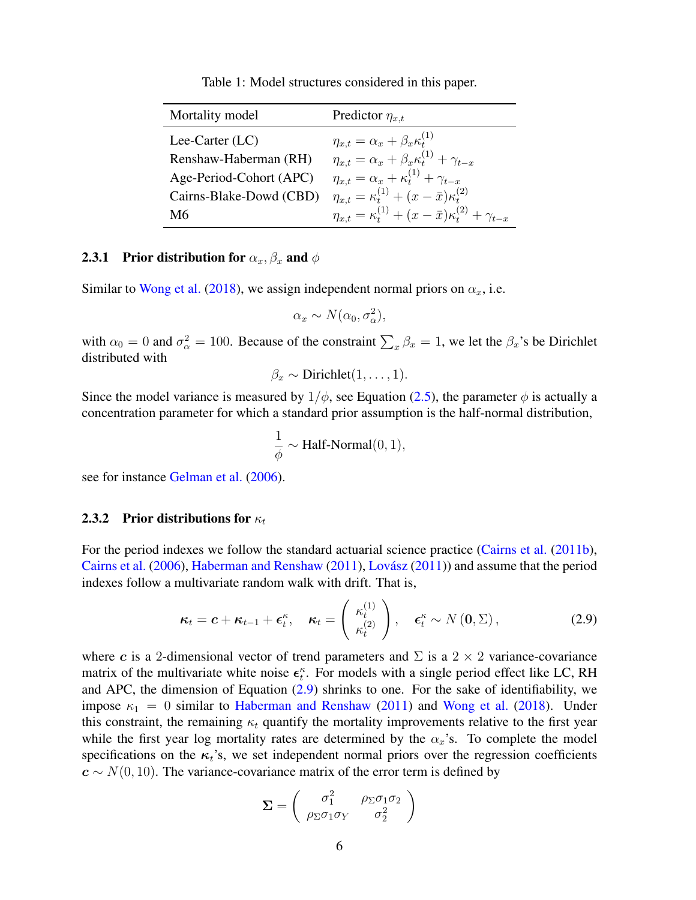Table 1: Model structures considered in this paper.

<span id="page-5-0"></span>

| Mortality model         | Predictor $\eta_{x,t}$                                                           |
|-------------------------|----------------------------------------------------------------------------------|
| Lee-Carter $(LC)$       | $\eta_{x,t} = \alpha_x + \beta_x \kappa_t^{(1)}$                                 |
| Renshaw-Haberman (RH)   | $\eta_{x,t} = \alpha_x + \beta_x \kappa_t^{(1)} + \gamma_{t-x}$                  |
| Age-Period-Cohort (APC) | $\eta_{x,t} = \alpha_x + \kappa_t^{(1)} + \gamma_{t-x}$                          |
| Cairns-Blake-Dowd (CBD) | $\eta_{x,t} = \kappa_t^{(1)} + (x - \bar{x})\kappa_t^{(2)}$                      |
| M6                      | $\eta_{x,t} = \kappa_t^{(1)} + (x - \bar{x})\kappa_t^{(2)} + \gamma_{t-\bar{x}}$ |

#### **2.3.1 Prior distribution for**  $\alpha_x, \beta_x$  and  $\phi$

Similar to [Wong et al.](#page-31-0) [\(2018\)](#page-31-0), we assign independent normal priors on  $\alpha_x$ , i.e.

$$
\alpha_x \sim N(\alpha_0, \sigma_\alpha^2),
$$

with  $\alpha_0 = 0$  and  $\sigma_\alpha^2 = 100$ . Because of the constraint  $\sum_x \beta_x = 1$ , we let the  $\beta_x$ 's be Dirichlet distributed with

$$
\beta_x \sim \text{Dirichlet}(1,\ldots,1).
$$

Since the model variance is measured by  $1/\phi$ , see Equation [\(2.5\)](#page-3-0), the parameter  $\phi$  is actually a concentration parameter for which a standard prior assumption is the half-normal distribution,

$$
\frac{1}{\phi} \sim \text{Half-Normal}(0, 1),
$$

see for instance [Gelman et al.](#page-29-6) [\(2006\)](#page-29-6).

#### 2.3.2 Prior distributions for  $\kappa_t$

For the period indexes we follow the standard actuarial science practice [\(Cairns et al.](#page-28-2) [\(2011b\)](#page-28-2), [Cairns et al.](#page-28-0) [\(2006\)](#page-28-0), [Haberman and Renshaw](#page-29-7)  $(2011)$ , Lovász  $(2011)$ ) and assume that the period indexes follow a multivariate random walk with drift. That is,

<span id="page-5-1"></span>
$$
\boldsymbol{\kappa}_t = \boldsymbol{c} + \boldsymbol{\kappa}_{t-1} + \boldsymbol{\epsilon}_t^{\kappa}, \quad \boldsymbol{\kappa}_t = \begin{pmatrix} \kappa_t^{(1)} \\ \kappa_t^{(2)} \end{pmatrix}, \quad \boldsymbol{\epsilon}_t^{\kappa} \sim N(0, \Sigma), \tag{2.9}
$$

where c is a 2-dimensional vector of trend parameters and  $\Sigma$  is a 2  $\times$  2 variance-covariance matrix of the multivariate white noise  $\epsilon_t^{\kappa}$ . For models with a single period effect like LC, RH and APC, the dimension of Equation  $(2.9)$  shrinks to one. For the sake of identifiability, we impose  $\kappa_1 = 0$  similar to [Haberman and Renshaw](#page-29-7) [\(2011\)](#page-29-7) and [Wong et al.](#page-31-0) [\(2018\)](#page-31-0). Under this constraint, the remaining  $\kappa_t$  quantify the mortality improvements relative to the first year while the first year log mortality rates are determined by the  $\alpha_x$ 's. To complete the model specifications on the  $\kappa_t$ 's, we set independent normal priors over the regression coefficients  $c \sim N(0, 10)$ . The variance-covariance matrix of the error term is defined by

$$
\Sigma = \begin{pmatrix} \sigma_1^2 & \rho_{\Sigma}\sigma_1\sigma_2 \\ \rho_{\Sigma}\sigma_1\sigma_Y & \sigma_2^2 \end{pmatrix}
$$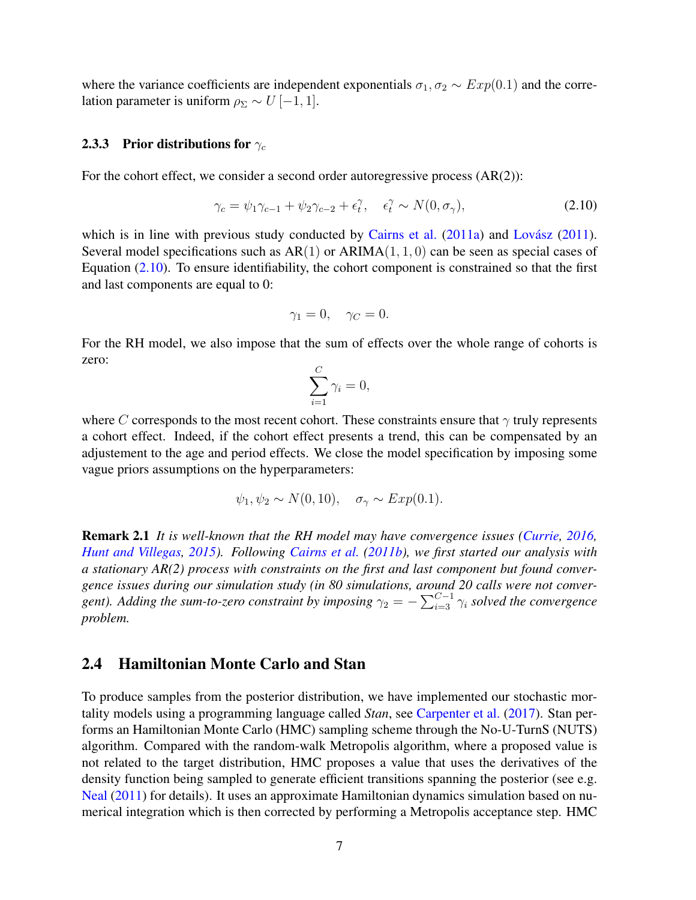where the variance coefficients are independent exponentials  $\sigma_1, \sigma_2 \sim Exp(0.1)$  and the correlation parameter is uniform  $\rho_{\Sigma} \sim U$  [-1, 1].

#### 2.3.3 Prior distributions for  $\gamma_c$

For the cohort effect, we consider a second order autoregressive process (AR(2)):

<span id="page-6-0"></span>
$$
\gamma_c = \psi_1 \gamma_{c-1} + \psi_2 \gamma_{c-2} + \epsilon_t^{\gamma}, \quad \epsilon_t^{\gamma} \sim N(0, \sigma_{\gamma}), \tag{2.10}
$$

which is in line with previous study conducted by [Cairns et al.](#page-28-7)  $(2011a)$  and Lovász  $(2011)$ . Several model specifications such as  $AR(1)$  or  $ARIMA(1, 1, 0)$  can be seen as special cases of Equation [\(2.10\)](#page-6-0). To ensure identifiability, the cohort component is constrained so that the first and last components are equal to 0:

$$
\gamma_1 = 0, \quad \gamma_C = 0.
$$

For the RH model, we also impose that the sum of effects over the whole range of cohorts is zero:

$$
\sum_{i=1}^{C} \gamma_i = 0,
$$

where C corresponds to the most recent cohort. These constraints ensure that  $\gamma$  truly represents a cohort effect. Indeed, if the cohort effect presents a trend, this can be compensated by an adjustement to the age and period effects. We close the model specification by imposing some vague priors assumptions on the hyperparameters:

$$
\psi_1, \psi_2 \sim N(0, 10), \quad \sigma_\gamma \sim Exp(0.1).
$$

Remark 2.1 *It is well-known that the RH model may have convergence issues [\(Currie,](#page-29-1) [2016,](#page-29-1) [Hunt and Villegas,](#page-30-10) [2015\)](#page-30-10). Following [Cairns et al.](#page-28-2) [\(2011b\)](#page-28-2), we first started our analysis with a stationary AR(2) process with constraints on the first and last component but found convergence issues during our simulation study (in 80 simulations, around 20 calls were not conver*gent). Adding the sum-to-zero constraint by imposing  $\gamma_2 = -\sum_{i=3}^{C-1} \gamma_i$  solved the convergence *problem.*

## 2.4 Hamiltonian Monte Carlo and Stan

To produce samples from the posterior distribution, we have implemented our stochastic mortality models using a programming language called *Stan*, see [Carpenter et al.](#page-28-8) [\(2017\)](#page-28-8). Stan performs an Hamiltonian Monte Carlo (HMC) sampling scheme through the No-U-TurnS (NUTS) algorithm. Compared with the random-walk Metropolis algorithm, where a proposed value is not related to the target distribution, HMC proposes a value that uses the derivatives of the density function being sampled to generate efficient transitions spanning the posterior (see e.g. [Neal](#page-30-11) [\(2011\)](#page-30-11) for details). It uses an approximate Hamiltonian dynamics simulation based on numerical integration which is then corrected by performing a Metropolis acceptance step. HMC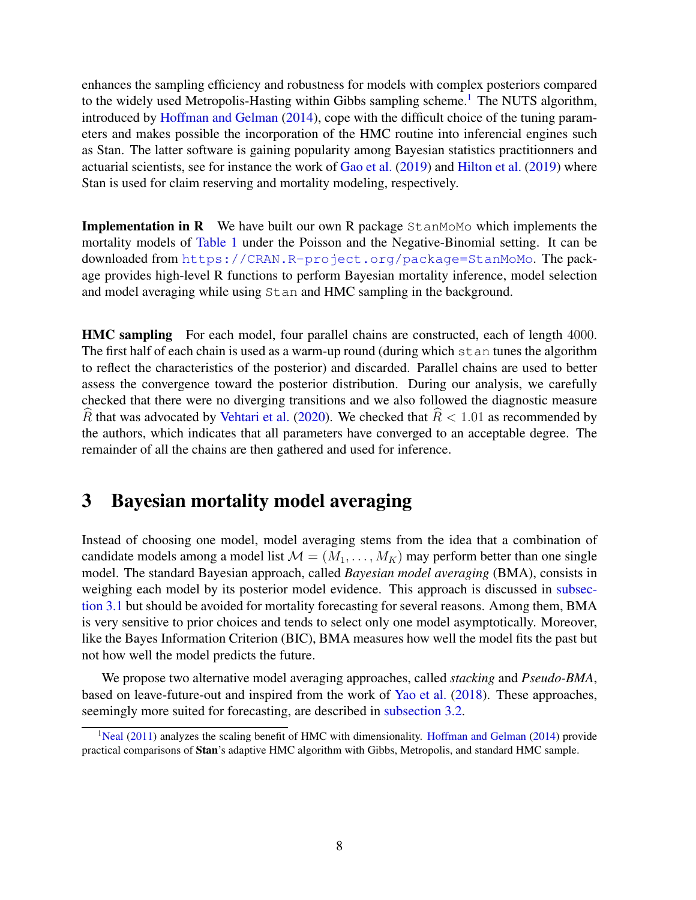enhances the sampling efficiency and robustness for models with complex posteriors compared to the widely used Metropolis-Hasting within Gibbs sampling scheme.<sup>[1](#page-0-0)</sup> The NUTS algorithm, introduced by [Hoffman and Gelman](#page-29-8) [\(2014\)](#page-29-8), cope with the difficult choice of the tuning parameters and makes possible the incorporation of the HMC routine into inferencial engines such as Stan. The latter software is gaining popularity among Bayesian statistics practitionners and actuarial scientists, see for instance the work of [Gao et al.](#page-29-9) [\(2019\)](#page-29-9) and [Hilton et al.](#page-29-10) [\(2019\)](#page-29-10) where Stan is used for claim reserving and mortality modeling, respectively.

**Implementation in R** We have built our own R package  $StanMOMO$  which implements the mortality models of [Table 1](#page-5-0) under the Poisson and the Negative-Binomial setting. It can be downloaded from <https://CRAN.R-project.org/package=StanMoMo>. The package provides high-level R functions to perform Bayesian mortality inference, model selection and model averaging while using Stan and HMC sampling in the background.

HMC sampling For each model, four parallel chains are constructed, each of length 4000. The first half of each chain is used as a warm-up round (during which stan tunes the algorithm to reflect the characteristics of the posterior) and discarded. Parallel chains are used to better assess the convergence toward the posterior distribution. During our analysis, we carefully checked that there were no diverging transitions and we also followed the diagnostic measure R that was advocated by [Vehtari et al.](#page-31-3) [\(2020\)](#page-31-3). We checked that  $\widehat{R}$  < 1.01 as recommended by the authors, which indicates that all parameters have converged to an acceptable degree. The remainder of all the chains are then gathered and used for inference.

# <span id="page-7-0"></span>3 Bayesian mortality model averaging

Instead of choosing one model, model averaging stems from the idea that a combination of candidate models among a model list  $\mathcal{M} = (M_1, \ldots, M_K)$  may perform better than one single model. The standard Bayesian approach, called *Bayesian model averaging* (BMA), consists in weighing each model by its posterior model evidence. This approach is discussed in [subsec](#page-8-0)[tion 3.1](#page-8-0) but should be avoided for mortality forecasting for several reasons. Among them, BMA is very sensitive to prior choices and tends to select only one model asymptotically. Moreover, like the Bayes Information Criterion (BIC), BMA measures how well the model fits the past but not how well the model predicts the future.

We propose two alternative model averaging approaches, called *stacking* and *Pseudo-BMA*, based on leave-future-out and inspired from the work of [Yao et al.](#page-31-2) [\(2018\)](#page-31-2). These approaches, seemingly more suited for forecasting, are described in [subsection 3.2.](#page-9-0)

<sup>&</sup>lt;sup>1</sup>[Neal](#page-30-11) [\(2011\)](#page-30-11) analyzes the scaling benefit of HMC with dimensionality. [Hoffman and Gelman](#page-29-8) [\(2014\)](#page-29-8) provide practical comparisons of Stan's adaptive HMC algorithm with Gibbs, Metropolis, and standard HMC sample.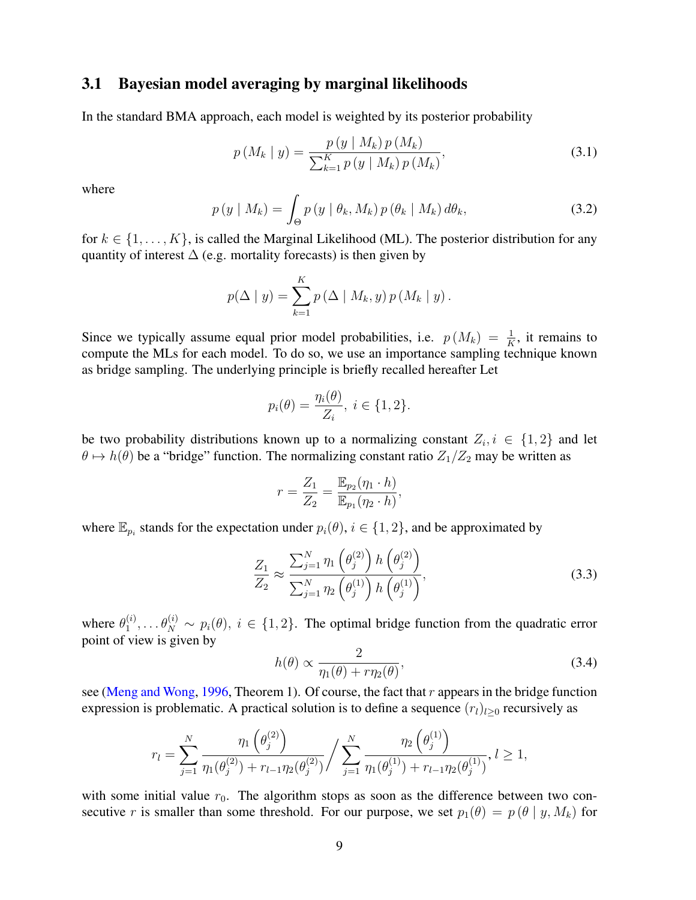### <span id="page-8-0"></span>3.1 Bayesian model averaging by marginal likelihoods

In the standard BMA approach, each model is weighted by its posterior probability

<span id="page-8-1"></span>
$$
p(M_k | y) = \frac{p(y | M_k) p(M_k)}{\sum_{k=1}^{K} p(y | M_k) p(M_k)},
$$
\n(3.1)

where

<span id="page-8-2"></span>
$$
p(y \mid M_k) = \int_{\Theta} p(y \mid \theta_k, M_k) p(\theta_k \mid M_k) d\theta_k, \qquad (3.2)
$$

for  $k \in \{1, \ldots, K\}$ , is called the Marginal Likelihood (ML). The posterior distribution for any quantity of interest  $\Delta$  (e.g. mortality forecasts) is then given by

$$
p(\Delta \mid y) = \sum_{k=1}^{K} p(\Delta \mid M_k, y) p(M_k \mid y).
$$

Since we typically assume equal prior model probabilities, i.e.  $p(M_k) = \frac{1}{K}$ , it remains to compute the MLs for each model. To do so, we use an importance sampling technique known as bridge sampling. The underlying principle is briefly recalled hereafter Let

$$
p_i(\theta) = \frac{\eta_i(\theta)}{Z_i}, \ i \in \{1, 2\}.
$$

be two probability distributions known up to a normalizing constant  $Z_i, i \in \{1,2\}$  and let  $\theta \mapsto h(\theta)$  be a "bridge" function. The normalizing constant ratio  $Z_1/Z_2$  may be written as

$$
r = \frac{Z_1}{Z_2} = \frac{\mathbb{E}_{p_2}(\eta_1 \cdot h)}{\mathbb{E}_{p_1}(\eta_2 \cdot h)},
$$

where  $\mathbb{E}_{p_i}$  stands for the expectation under  $p_i(\theta), i \in \{1, 2\}$ , and be approximated by

$$
\frac{Z_1}{Z_2} \approx \frac{\sum_{j=1}^N \eta_1\left(\theta_j^{(2)}\right) h\left(\theta_j^{(2)}\right)}{\sum_{j=1}^N \eta_2\left(\theta_j^{(1)}\right) h\left(\theta_j^{(1)}\right)},\tag{3.3}
$$

where  $\theta_1^{(i)}$  $\theta_1^{(i)}, \ldots, \theta_N^{(i)} \sim p_i(\theta), i \in \{1,2\}$ . The optimal bridge function from the quadratic error point of view is given by

$$
h(\theta) \propto \frac{2}{\eta_1(\theta) + r\eta_2(\theta)},
$$
\n(3.4)

see [\(Meng and Wong,](#page-30-12) [1996,](#page-30-12) Theorem 1). Of course, the fact that  $r$  appears in the bridge function expression is problematic. A practical solution is to define a sequence  $(r_l)_{l\geq0}$  recursively as

$$
r_l = \sum_{j=1}^N \frac{\eta_1(\theta_j^{(2)})}{\eta_1(\theta_j^{(2)}) + r_{l-1}\eta_2(\theta_j^{(2)})} / \sum_{j=1}^N \frac{\eta_2(\theta_j^{(1)})}{\eta_1(\theta_j^{(1)}) + r_{l-1}\eta_2(\theta_j^{(1)})}, l \ge 1,
$$

with some initial value  $r_0$ . The algorithm stops as soon as the difference between two consecutive r is smaller than some threshold. For our purpose, we set  $p_1(\theta) = p(\theta | y, M_k)$  for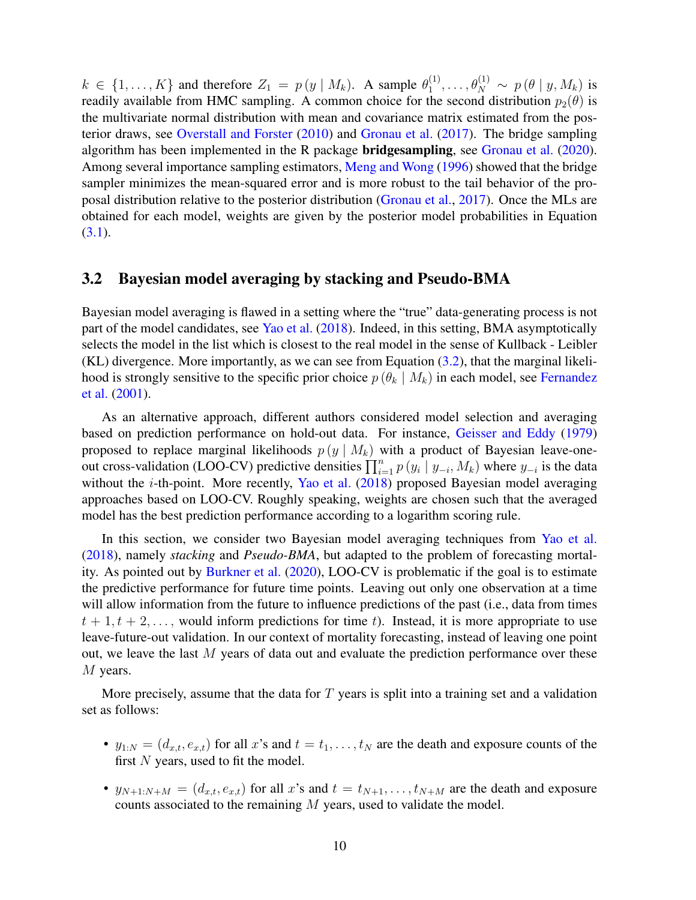$k \in \{1, \ldots, K\}$  and therefore  $Z_1 = p(y \mid M_k)$ . A sample  $\theta_1^{(1)}$  $\theta_1^{(1)},\ldots,\theta_N^{(1)} \sim p\left(\theta\mid y,M_k\right)$  is readily available from HMC sampling. A common choice for the second distribution  $p_2(\theta)$  is the multivariate normal distribution with mean and covariance matrix estimated from the posterior draws, see [Overstall and Forster](#page-30-13) [\(2010\)](#page-30-13) and [Gronau et al.](#page-29-11) [\(2017\)](#page-29-11). The bridge sampling algorithm has been implemented in the R package bridgesampling, see [Gronau et al.](#page-29-12) [\(2020\)](#page-29-12). Among several importance sampling estimators, [Meng and Wong](#page-30-12) [\(1996\)](#page-30-12) showed that the bridge sampler minimizes the mean-squared error and is more robust to the tail behavior of the proposal distribution relative to the posterior distribution [\(Gronau et al.,](#page-29-11) [2017\)](#page-29-11). Once the MLs are obtained for each model, weights are given by the posterior model probabilities in Equation  $(3.1).$  $(3.1).$ 

#### <span id="page-9-0"></span>3.2 Bayesian model averaging by stacking and Pseudo-BMA

Bayesian model averaging is flawed in a setting where the "true" data-generating process is not part of the model candidates, see [Yao et al.](#page-31-2) [\(2018\)](#page-31-2). Indeed, in this setting, BMA asymptotically selects the model in the list which is closest to the real model in the sense of Kullback - Leibler (KL) divergence. More importantly, as we can see from Equation [\(3.2\)](#page-8-2), that the marginal likelihood is strongly sensitive to the specific prior choice  $p(\theta_k | M_k)$  in each model, see [Fernandez](#page-29-13) [et al.](#page-29-13) [\(2001\)](#page-29-13).

As an alternative approach, different authors considered model selection and averaging based on prediction performance on hold-out data. For instance, [Geisser and Eddy](#page-29-14) [\(1979\)](#page-29-14) proposed to replace marginal likelihoods  $p(y \mid M_k)$  with a product of Bayesian leave-oneout cross-validation (LOO-CV) predictive densities  $\prod_{i=1}^{n} p(y_i | y_{-i}, M_k)$  where  $y_{-i}$  is the data without the *i*-th-point. More recently, [Yao et al.](#page-31-2) [\(2018\)](#page-31-2) proposed Bayesian model averaging approaches based on LOO-CV. Roughly speaking, weights are chosen such that the averaged model has the best prediction performance according to a logarithm scoring rule.

In this section, we consider two Bayesian model averaging techniques from [Yao et al.](#page-31-2) [\(2018\)](#page-31-2), namely *stacking* and *Pseudo-BMA*, but adapted to the problem of forecasting mortality. As pointed out by [Burkner et al.](#page-28-9) [\(2020\)](#page-28-9), LOO-CV is problematic if the goal is to estimate the predictive performance for future time points. Leaving out only one observation at a time will allow information from the future to influence predictions of the past (i.e., data from times  $t + 1, t + 2, \ldots$ , would inform predictions for time t). Instead, it is more appropriate to use leave-future-out validation. In our context of mortality forecasting, instead of leaving one point out, we leave the last M years of data out and evaluate the prediction performance over these M years.

More precisely, assume that the data for  $T$  years is split into a training set and a validation set as follows:

- $y_{1:N} = (d_{x,t}, e_{x,t})$  for all x's and  $t = t_1, \ldots, t_N$  are the death and exposure counts of the first  $N$  years, used to fit the model.
- $y_{N+1:N+M} = (d_{x,t}, e_{x,t})$  for all x's and  $t = t_{N+1}, \ldots, t_{N+M}$  are the death and exposure counts associated to the remaining M years, used to validate the model.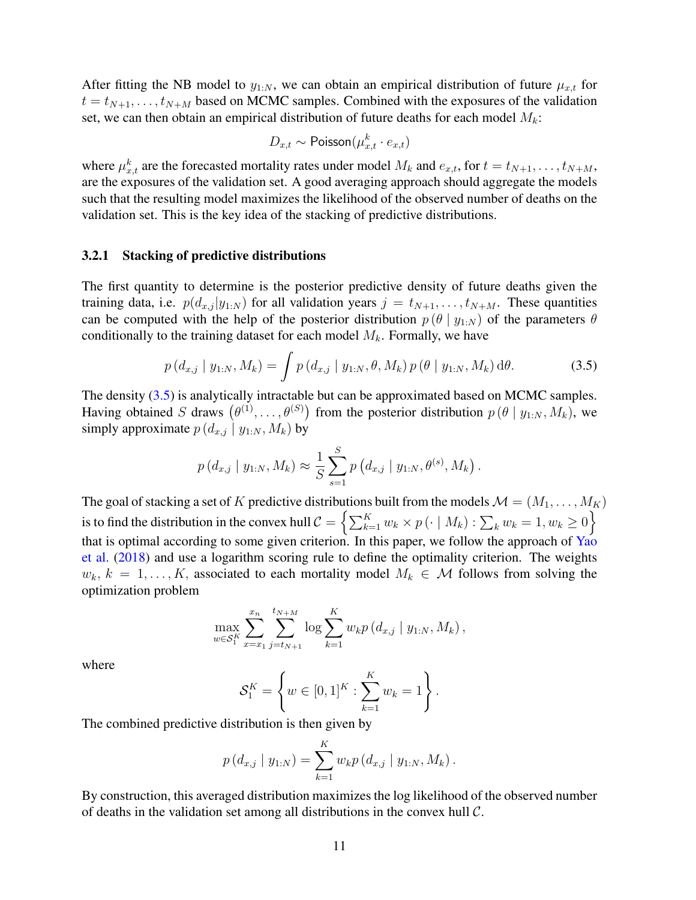After fitting the NB model to  $y_{1:N}$ , we can obtain an empirical distribution of future  $\mu_{x,t}$  for  $t = t_{N+1}, \ldots, t_{N+M}$  based on MCMC samples. Combined with the exposures of the validation set, we can then obtain an empirical distribution of future deaths for each model  $M_k$ :

$$
D_{x,t} \sim \text{Poisson}(\mu_{x,t}^k \cdot e_{x,t})
$$

where  $\mu_{x,t}^k$  are the forecasted mortality rates under model  $M_k$  and  $e_{x,t}$ , for  $t = t_{N+1}, \ldots, t_{N+M}$ , are the exposures of the validation set. A good averaging approach should aggregate the models such that the resulting model maximizes the likelihood of the observed number of deaths on the validation set. This is the key idea of the stacking of predictive distributions.

#### 3.2.1 Stacking of predictive distributions

The first quantity to determine is the posterior predictive density of future deaths given the training data, i.e.  $p(d_{x,j} | y_{1:N})$  for all validation years  $j = t_{N+1}, \ldots, t_{N+M}$ . These quantities can be computed with the help of the posterior distribution  $p(\theta | y_{1:N})$  of the parameters  $\theta$ conditionally to the training dataset for each model  $M_k$ . Formally, we have

<span id="page-10-0"></span>
$$
p(d_{x,j} | y_{1:N}, M_k) = \int p(d_{x,j} | y_{1:N}, \theta, M_k) p(\theta | y_{1:N}, M_k) d\theta.
$$
 (3.5)

The density [\(3.5\)](#page-10-0) is analytically intractable but can be approximated based on MCMC samples. Having obtained S draws  $(\theta^{(1)}, \ldots, \theta^{(S)})$  from the posterior distribution  $p(\theta | y_{1:N}, M_k)$ , we simply approximate  $p(d_{x,j} | y_{1:N}, M_k)$  by

$$
p(d_{x,j} | y_{1:N}, M_k) \approx \frac{1}{S} \sum_{s=1}^{S} p(d_{x,j} | y_{1:N}, \theta^{(s)}, M_k).
$$

The goal of stacking a set of K predictive distributions built from the models  $\mathcal{M} = (M_1, \dots, M_K)$ is to find the distribution in the convex hull  $\mathcal{C} = \left\{ \sum_{k=1}^K w_k \times p \left(\cdot \mid M_k\right) : \sum_k w_k = 1, w_k \geq 0 \right\}$ that is optimal according to some given criterion. In this paper, we follow the approach of [Yao](#page-31-2) [et al.](#page-31-2) [\(2018\)](#page-31-2) and use a logarithm scoring rule to define the optimality criterion. The weights  $w_k, k = 1, \ldots, K$ , associated to each mortality model  $M_k \in \mathcal{M}$  follows from solving the optimization problem

$$
\max_{w \in \mathcal{S}_1^K} \sum_{x=x_1}^{x_n} \sum_{j=t_{N+1}}^{t_{N+M}} \log \sum_{k=1}^K w_k p(d_{x,j} | y_{1:N}, M_k),
$$

where

$$
\mathcal{S}_1^K = \left\{ w \in [0,1]^K : \sum_{k=1}^K w_k = 1 \right\}.
$$

The combined predictive distribution is then given by

$$
p(d_{x,j} | y_{1:N}) = \sum_{k=1}^{K} w_k p(d_{x,j} | y_{1:N}, M_k).
$$

By construction, this averaged distribution maximizes the log likelihood of the observed number of deaths in the validation set among all distributions in the convex hull C.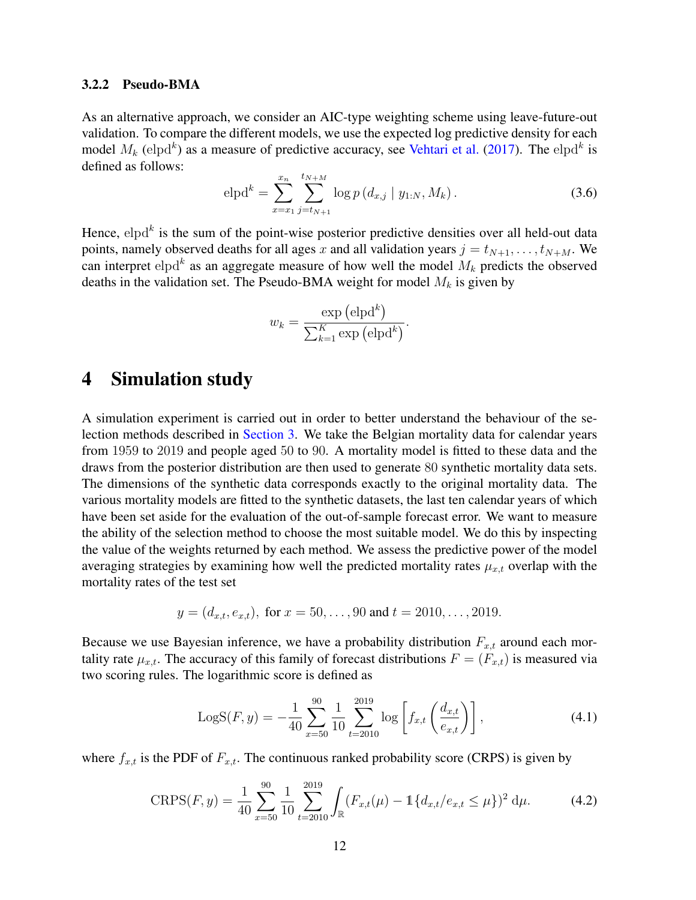#### 3.2.2 Pseudo-BMA

As an alternative approach, we consider an AIC-type weighting scheme using leave-future-out validation. To compare the different models, we use the expected log predictive density for each model  $M_k$  (elpd<sup>k</sup>) as a measure of predictive accuracy, see [Vehtari et al.](#page-31-4) [\(2017\)](#page-31-4). The elpd<sup>k</sup> is defined as follows:

$$
\text{elpd}^k = \sum_{x=x_1}^{x_n} \sum_{j=t_{N+1}}^{t_{N+M}} \log p\left(d_{x,j} \mid y_{1:N}, M_k\right). \tag{3.6}
$$

Hence,  $eIpd^k$  is the sum of the point-wise posterior predictive densities over all held-out data points, namely observed deaths for all ages x and all validation years  $j = t_{N+1}, \ldots, t_{N+M}$ . We can interpret elpd<sup>k</sup> as an aggregate measure of how well the model  $M_k$  predicts the observed deaths in the validation set. The Pseudo-BMA weight for model  $M_k$  is given by

$$
w_k = \frac{\exp (\text{elpd}^k)}{\sum_{k=1}^K \exp (\text{elpd}^k)}.
$$

## <span id="page-11-0"></span>4 Simulation study

A simulation experiment is carried out in order to better understand the behaviour of the selection methods described in [Section 3.](#page-7-0) We take the Belgian mortality data for calendar years from 1959 to 2019 and people aged 50 to 90. A mortality model is fitted to these data and the draws from the posterior distribution are then used to generate 80 synthetic mortality data sets. The dimensions of the synthetic data corresponds exactly to the original mortality data. The various mortality models are fitted to the synthetic datasets, the last ten calendar years of which have been set aside for the evaluation of the out-of-sample forecast error. We want to measure the ability of the selection method to choose the most suitable model. We do this by inspecting the value of the weights returned by each method. We assess the predictive power of the model averaging strategies by examining how well the predicted mortality rates  $\mu_{x,t}$  overlap with the mortality rates of the test set

$$
y = (d_{x,t}, e_{x,t}),
$$
 for  $x = 50, ..., 90$  and  $t = 2010, ..., 2019$ .

Because we use Bayesian inference, we have a probability distribution  $F_{x,t}$  around each mortality rate  $\mu_{x,t}$ . The accuracy of this family of forecast distributions  $F = (F_{x,t})$  is measured via two scoring rules. The logarithmic score is defined as

<span id="page-11-1"></span>
$$
LogS(F, y) = -\frac{1}{40} \sum_{x=50}^{90} \frac{1}{10} \sum_{t=2010}^{2019} \log \left[ f_{x,t} \left( \frac{d_{x,t}}{e_{x,t}} \right) \right],
$$
 (4.1)

where  $f_{x,t}$  is the PDF of  $F_{x,t}$ . The continuous ranked probability score (CRPS) is given by

<span id="page-11-2"></span>
$$
CRPS(F, y) = \frac{1}{40} \sum_{x=50}^{90} \frac{1}{10} \sum_{t=2010}^{2019} \int_{\mathbb{R}} (F_{x,t}(\mu) - 1\{d_{x,t}/e_{x,t} \le \mu\})^2 d\mu.
$$
 (4.2)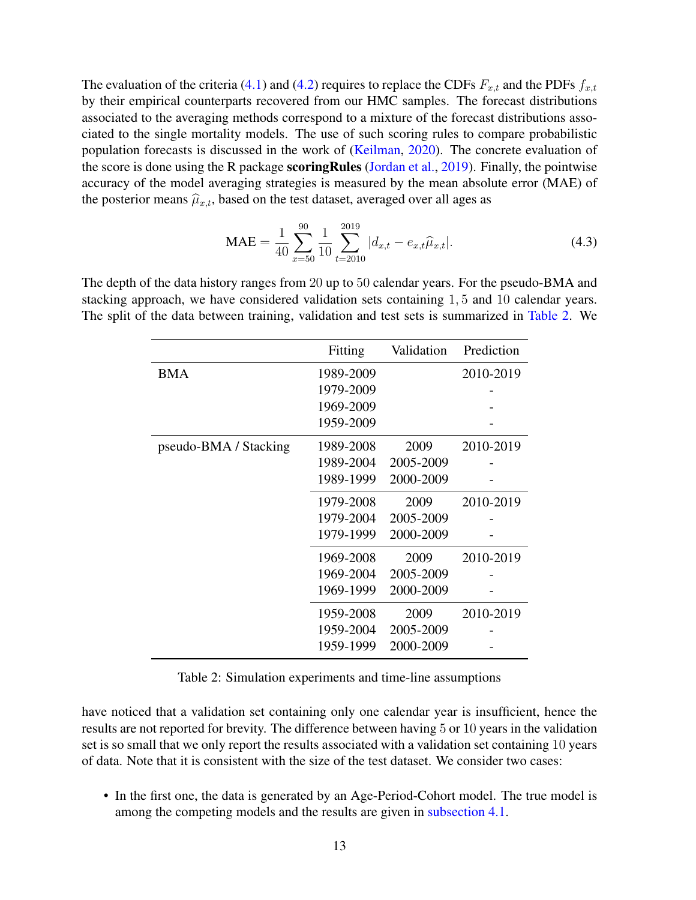The evaluation of the criteria [\(4.1\)](#page-11-1) and [\(4.2\)](#page-11-2) requires to replace the CDFs  $F_{x,t}$  and the PDFs  $f_{x,t}$ by their empirical counterparts recovered from our HMC samples. The forecast distributions associated to the averaging methods correspond to a mixture of the forecast distributions associated to the single mortality models. The use of such scoring rules to compare probabilistic population forecasts is discussed in the work of [\(Keilman,](#page-30-14) [2020\)](#page-30-14). The concrete evaluation of the score is done using the R package scoringRules [\(Jordan et al.,](#page-30-15) [2019\)](#page-30-15). Finally, the pointwise accuracy of the model averaging strategies is measured by the mean absolute error (MAE) of the posterior means  $\hat{\mu}_{x,t}$ , based on the test dataset, averaged over all ages as

<span id="page-12-1"></span>
$$
\text{MAE} = \frac{1}{40} \sum_{x=50}^{90} \frac{1}{10} \sum_{t=2010}^{2019} |d_{x,t} - e_{x,t} \hat{\mu}_{x,t}|.
$$
 (4.3)

<span id="page-12-0"></span>The depth of the data history ranges from 20 up to 50 calendar years. For the pseudo-BMA and stacking approach, we have considered validation sets containing 1, 5 and 10 calendar years. The split of the data between training, validation and test sets is summarized in [Table 2.](#page-12-0) We

|                       | Fitting   | Validation | Prediction |
|-----------------------|-----------|------------|------------|
| <b>BMA</b>            | 1989-2009 |            | 2010-2019  |
|                       | 1979-2009 |            |            |
|                       | 1969-2009 |            |            |
|                       | 1959-2009 |            |            |
| pseudo-BMA / Stacking | 1989-2008 | 2009       | 2010-2019  |
|                       | 1989-2004 | 2005-2009  |            |
|                       | 1989-1999 | 2000-2009  |            |
|                       | 1979-2008 | 2009       | 2010-2019  |
|                       | 1979-2004 | 2005-2009  |            |
|                       | 1979-1999 | 2000-2009  |            |
|                       | 1969-2008 | 2009       | 2010-2019  |
|                       | 1969-2004 | 2005-2009  |            |
|                       | 1969-1999 | 2000-2009  |            |
|                       | 1959-2008 | 2009       | 2010-2019  |
|                       | 1959-2004 | 2005-2009  |            |
|                       | 1959-1999 | 2000-2009  |            |

Table 2: Simulation experiments and time-line assumptions

have noticed that a validation set containing only one calendar year is insufficient, hence the results are not reported for brevity. The difference between having 5 or 10 years in the validation set is so small that we only report the results associated with a validation set containing 10 years of data. Note that it is consistent with the size of the test dataset. We consider two cases:

• In the first one, the data is generated by an Age-Period-Cohort model. The true model is among the competing models and the results are given in [subsection 4.1.](#page-13-0)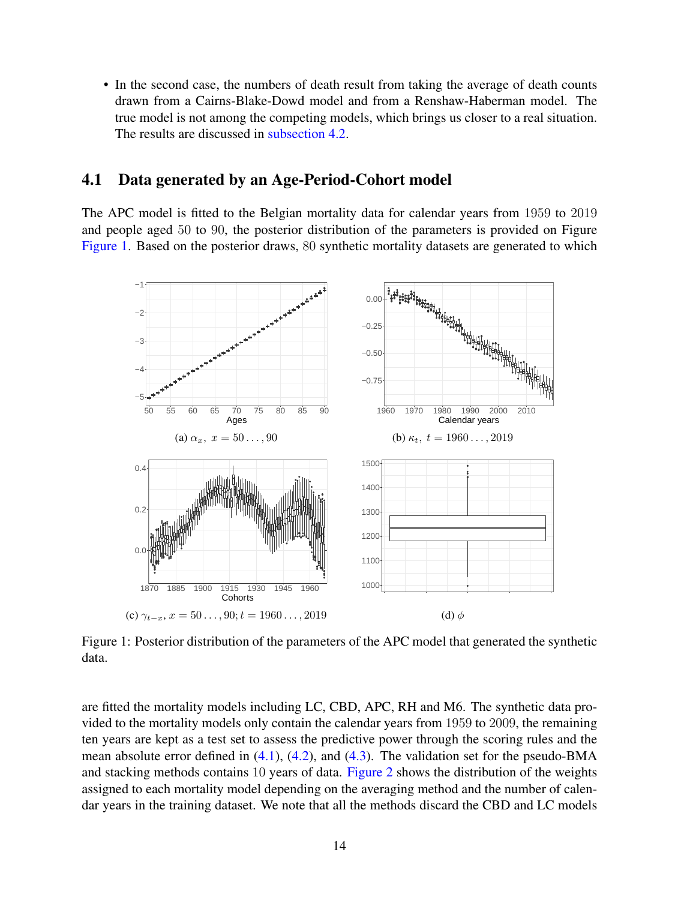• In the second case, the numbers of death result from taking the average of death counts drawn from a Cairns-Blake-Dowd model and from a Renshaw-Haberman model. The true model is not among the competing models, which brings us closer to a real situation. The results are discussed in [subsection 4.2.](#page-15-0)

## <span id="page-13-0"></span>4.1 Data generated by an Age-Period-Cohort model

The APC model is fitted to the Belgian mortality data for calendar years from 1959 to 2019 and people aged 50 to 90, the posterior distribution of the parameters is provided on Figure [Figure 1.](#page-13-1) Based on the posterior draws, 80 synthetic mortality datasets are generated to which

<span id="page-13-1"></span>

Figure 1: Posterior distribution of the parameters of the APC model that generated the synthetic data.

are fitted the mortality models including LC, CBD, APC, RH and M6. The synthetic data provided to the mortality models only contain the calendar years from 1959 to 2009, the remaining ten years are kept as a test set to assess the predictive power through the scoring rules and the mean absolute error defined in  $(4.1)$ ,  $(4.2)$ , and  $(4.3)$ . The validation set for the pseudo-BMA and stacking methods contains 10 years of data. [Figure 2](#page-14-0) shows the distribution of the weights assigned to each mortality model depending on the averaging method and the number of calendar years in the training dataset. We note that all the methods discard the CBD and LC models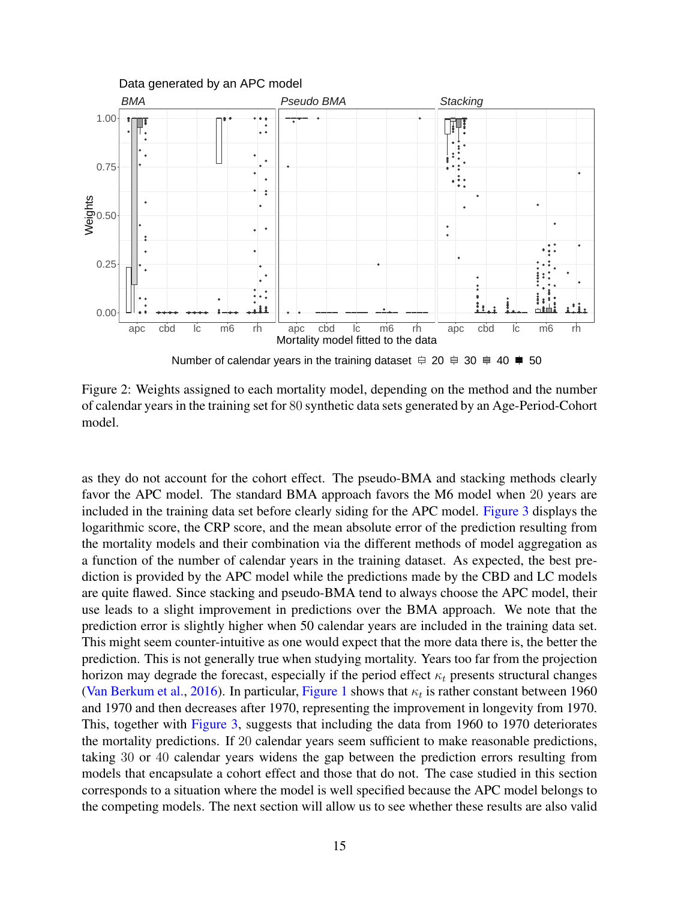<span id="page-14-0"></span>

Figure 2: Weights assigned to each mortality model, depending on the method and the number of calendar years in the training set for 80 synthetic data sets generated by an Age-Period-Cohort model.

as they do not account for the cohort effect. The pseudo-BMA and stacking methods clearly favor the APC model. The standard BMA approach favors the M6 model when 20 years are included in the training data set before clearly siding for the APC model. [Figure 3](#page-15-1) displays the logarithmic score, the CRP score, and the mean absolute error of the prediction resulting from the mortality models and their combination via the different methods of model aggregation as a function of the number of calendar years in the training dataset. As expected, the best prediction is provided by the APC model while the predictions made by the CBD and LC models are quite flawed. Since stacking and pseudo-BMA tend to always choose the APC model, their use leads to a slight improvement in predictions over the BMA approach. We note that the prediction error is slightly higher when 50 calendar years are included in the training data set. This might seem counter-intuitive as one would expect that the more data there is, the better the prediction. This is not generally true when studying mortality. Years too far from the projection horizon may degrade the forecast, especially if the period effect  $\kappa_t$  presents structural changes [\(Van Berkum et al.,](#page-31-5) [2016\)](#page-31-5). In particular, [Figure 1](#page-13-1) shows that  $\kappa_t$  is rather constant between 1960 and 1970 and then decreases after 1970, representing the improvement in longevity from 1970. This, together with [Figure 3,](#page-15-1) suggests that including the data from 1960 to 1970 deteriorates the mortality predictions. If 20 calendar years seem sufficient to make reasonable predictions, taking 30 or 40 calendar years widens the gap between the prediction errors resulting from models that encapsulate a cohort effect and those that do not. The case studied in this section corresponds to a situation where the model is well specified because the APC model belongs to the competing models. The next section will allow us to see whether these results are also valid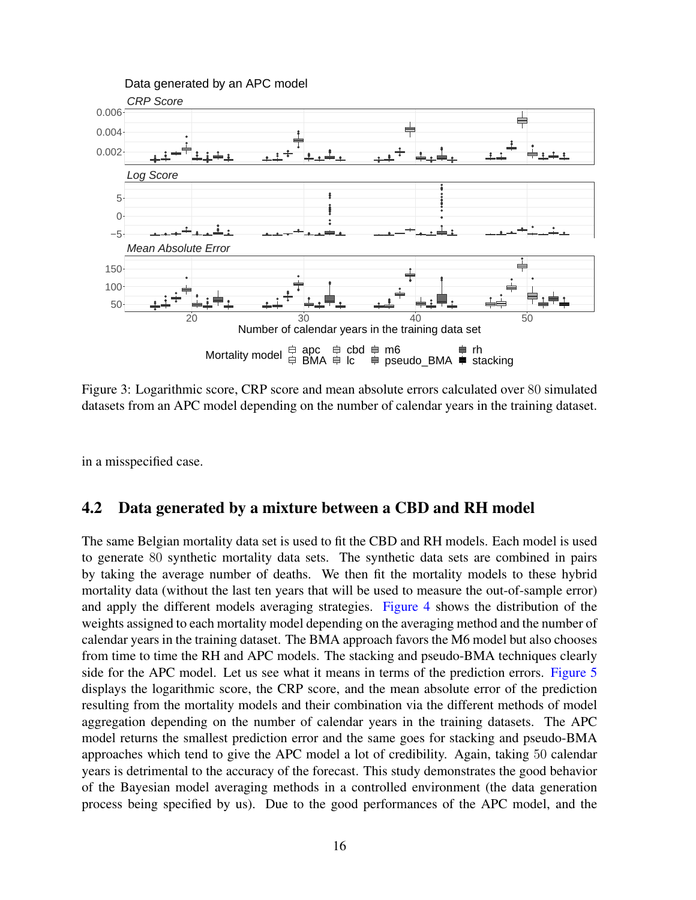<span id="page-15-1"></span>

Figure 3: Logarithmic score, CRP score and mean absolute errors calculated over 80 simulated datasets from an APC model depending on the number of calendar years in the training dataset.

in a misspecified case.

## <span id="page-15-0"></span>4.2 Data generated by a mixture between a CBD and RH model

The same Belgian mortality data set is used to fit the CBD and RH models. Each model is used to generate 80 synthetic mortality data sets. The synthetic data sets are combined in pairs by taking the average number of deaths. We then fit the mortality models to these hybrid mortality data (without the last ten years that will be used to measure the out-of-sample error) and apply the different models averaging strategies. [Figure 4](#page-16-1) shows the distribution of the weights assigned to each mortality model depending on the averaging method and the number of calendar years in the training dataset. The BMA approach favors the M6 model but also chooses from time to time the RH and APC models. The stacking and pseudo-BMA techniques clearly side for the APC model. Let us see what it means in terms of the prediction errors. [Figure 5](#page-17-0) displays the logarithmic score, the CRP score, and the mean absolute error of the prediction resulting from the mortality models and their combination via the different methods of model aggregation depending on the number of calendar years in the training datasets. The APC model returns the smallest prediction error and the same goes for stacking and pseudo-BMA approaches which tend to give the APC model a lot of credibility. Again, taking 50 calendar years is detrimental to the accuracy of the forecast. This study demonstrates the good behavior of the Bayesian model averaging methods in a controlled environment (the data generation process being specified by us). Due to the good performances of the APC model, and the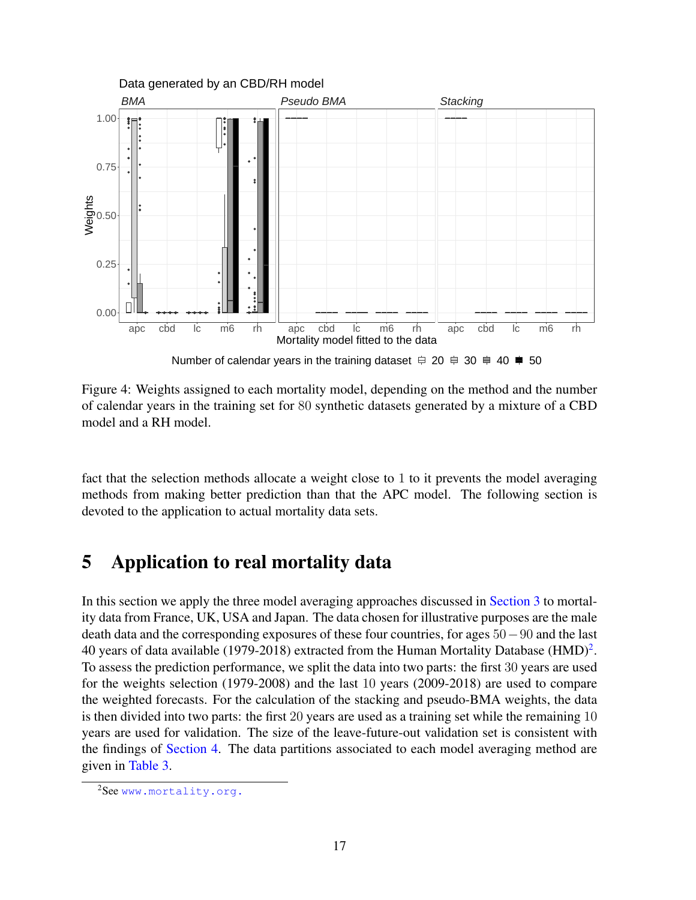<span id="page-16-1"></span>

Figure 4: Weights assigned to each mortality model, depending on the method and the number of calendar years in the training set for 80 synthetic datasets generated by a mixture of a CBD model and a RH model.

fact that the selection methods allocate a weight close to 1 to it prevents the model averaging methods from making better prediction than that the APC model. The following section is devoted to the application to actual mortality data sets.

# <span id="page-16-0"></span>5 Application to real mortality data

In this section we apply the three model averaging approaches discussed in [Section 3](#page-7-0) to mortality data from France, UK, USA and Japan. The data chosen for illustrative purposes are the male death data and the corresponding exposures of these four countries, for ages 50−90 and the last 40 years of data available (1979-[2](#page-0-0)018) extracted from the Human Mortality Database (HMD)<sup>2</sup>. To assess the prediction performance, we split the data into two parts: the first 30 years are used for the weights selection (1979-2008) and the last 10 years (2009-2018) are used to compare the weighted forecasts. For the calculation of the stacking and pseudo-BMA weights, the data is then divided into two parts: the first 20 years are used as a training set while the remaining 10 years are used for validation. The size of the leave-future-out validation set is consistent with the findings of [Section 4.](#page-11-0) The data partitions associated to each model averaging method are given in [Table 3.](#page-17-1)

<sup>&</sup>lt;sup>2</sup>See <www.mortality.org.>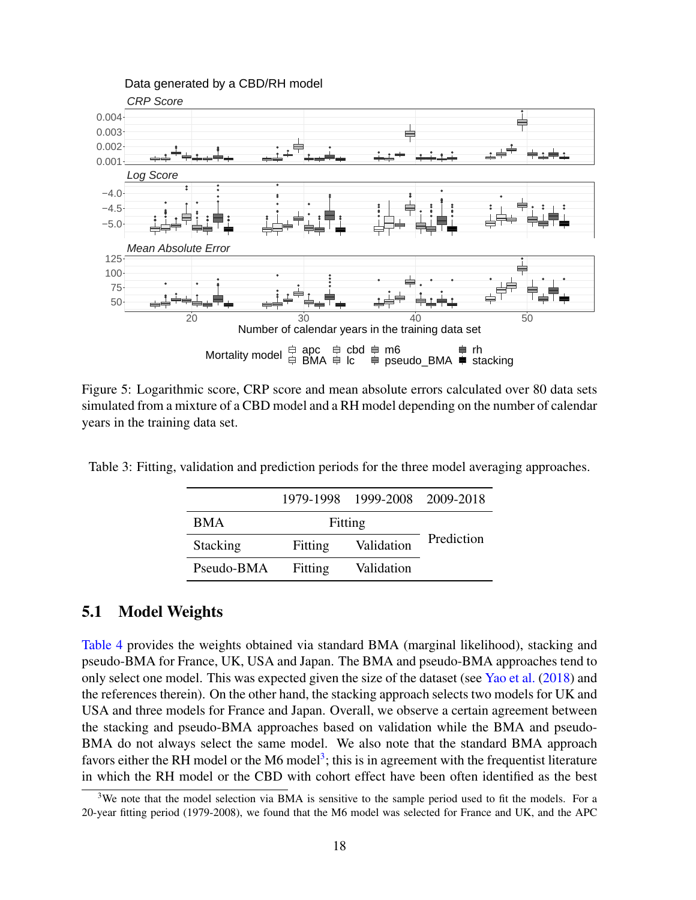<span id="page-17-0"></span>

Figure 5: Logarithmic score, CRP score and mean absolute errors calculated over 80 data sets simulated from a mixture of a CBD model and a RH model depending on the number of calendar years in the training data set.

<span id="page-17-1"></span>Table 3: Fitting, validation and prediction periods for the three model averaging approaches.

|            |         | 1979-1998 1999-2008 2009-2018 |            |
|------------|---------|-------------------------------|------------|
| <b>BMA</b> | Fitting |                               |            |
| Stacking   | Fitting | Validation                    | Prediction |
| Pseudo-BMA | Fitting | Validation                    |            |

## 5.1 Model Weights

[Table 4](#page-18-0) provides the weights obtained via standard BMA (marginal likelihood), stacking and pseudo-BMA for France, UK, USA and Japan. The BMA and pseudo-BMA approaches tend to only select one model. This was expected given the size of the dataset (see [Yao et al.](#page-31-2) [\(2018\)](#page-31-2) and the references therein). On the other hand, the stacking approach selects two models for UK and USA and three models for France and Japan. Overall, we observe a certain agreement between the stacking and pseudo-BMA approaches based on validation while the BMA and pseudo-BMA do not always select the same model. We also note that the standard BMA approach favors either the RH model or the M6 model<sup>[3](#page-0-0)</sup>; this is in agreement with the frequentist literature in which the RH model or the CBD with cohort effect have been often identified as the best

 $3$ We note that the model selection via BMA is sensitive to the sample period used to fit the models. For a 20-year fitting period (1979-2008), we found that the M6 model was selected for France and UK, and the APC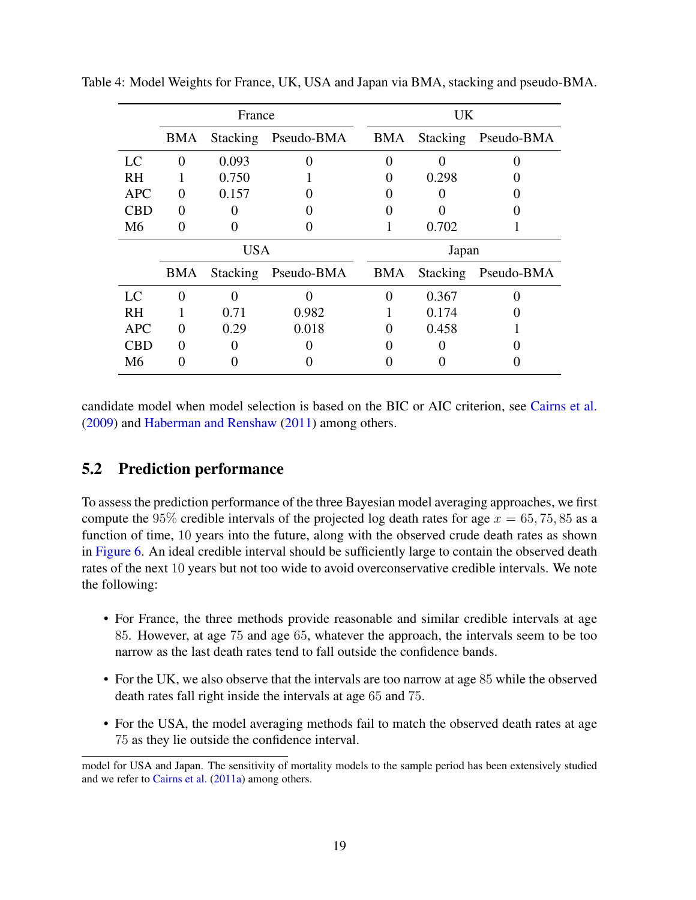|            | France     |          |            |       | UK       |            |  |
|------------|------------|----------|------------|-------|----------|------------|--|
|            | <b>BMA</b> | Stacking | Pseudo-BMA | BMA   | Stacking | Pseudo-BMA |  |
| LC         | 0          | 0.093    | 0          |       |          |            |  |
| <b>RH</b>  |            | 0.750    |            | 0     | 0.298    |            |  |
| <b>APC</b> | 0          | 0.157    |            |       |          |            |  |
| <b>CBD</b> | 0          |          |            |       |          |            |  |
| M6         |            |          |            |       | 0.702    |            |  |
|            | <b>USA</b> |          |            | Japan |          |            |  |
|            | BMA        | Stacking | Pseudo-BMA | BMA   | Stacking | Pseudo-BMA |  |
| LC         |            |          |            |       | 0.367    |            |  |
| RH         |            | 0.71     | 0.982      |       | 0.174    |            |  |
| <b>APC</b> | 0          | 0.29     | 0.018      | 0     | 0.458    |            |  |
| CBD        |            |          |            |       |          |            |  |
| M6         |            |          |            |       |          |            |  |

<span id="page-18-0"></span>Table 4: Model Weights for France, UK, USA and Japan via BMA, stacking and pseudo-BMA.

candidate model when model selection is based on the BIC or AIC criterion, see [Cairns et al.](#page-28-1) [\(2009\)](#page-28-1) and [Haberman and Renshaw](#page-29-7) [\(2011\)](#page-29-7) among others.

## 5.2 Prediction performance

To assess the prediction performance of the three Bayesian model averaging approaches, we first compute the 95% credible intervals of the projected log death rates for age  $x = 65, 75, 85$  as a function of time, 10 years into the future, along with the observed crude death rates as shown in [Figure 6.](#page-20-0) An ideal credible interval should be sufficiently large to contain the observed death rates of the next 10 years but not too wide to avoid overconservative credible intervals. We note the following:

- For France, the three methods provide reasonable and similar credible intervals at age 85. However, at age 75 and age 65, whatever the approach, the intervals seem to be too narrow as the last death rates tend to fall outside the confidence bands.
- For the UK, we also observe that the intervals are too narrow at age 85 while the observed death rates fall right inside the intervals at age 65 and 75.
- For the USA, the model averaging methods fail to match the observed death rates at age 75 as they lie outside the confidence interval.

model for USA and Japan. The sensitivity of mortality models to the sample period has been extensively studied and we refer to [Cairns et al.](#page-28-7) [\(2011a\)](#page-28-7) among others.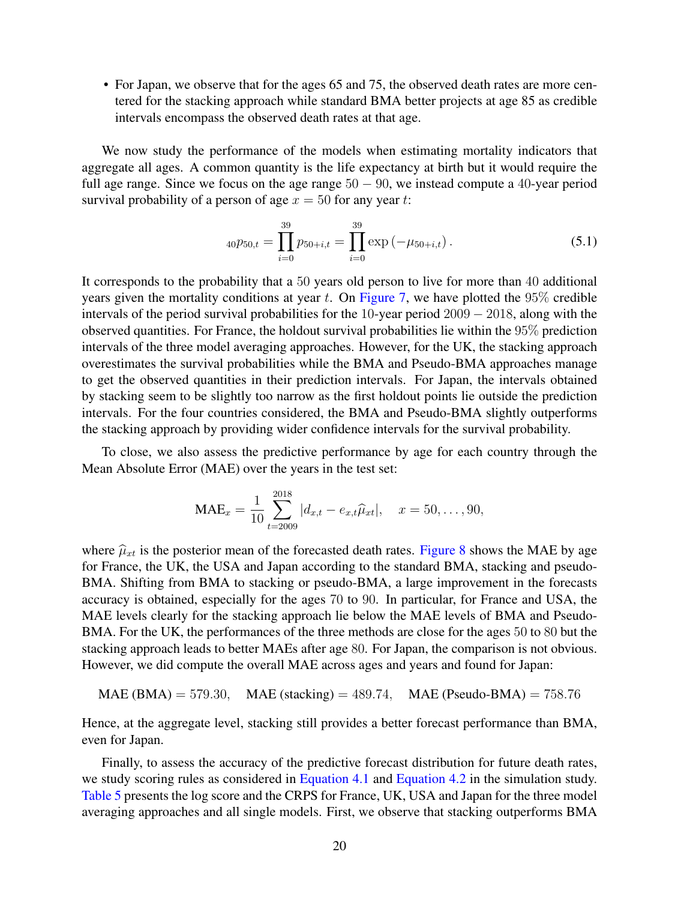• For Japan, we observe that for the ages 65 and 75, the observed death rates are more centered for the stacking approach while standard BMA better projects at age 85 as credible intervals encompass the observed death rates at that age.

We now study the performance of the models when estimating mortality indicators that aggregate all ages. A common quantity is the life expectancy at birth but it would require the full age range. Since we focus on the age range  $50 - 90$ , we instead compute a 40-year period survival probability of a person of age  $x = 50$  for any year t:

<span id="page-19-0"></span>
$$
_{40}p_{50,t} = \prod_{i=0}^{39} p_{50+i,t} = \prod_{i=0}^{39} \exp(-\mu_{50+i,t}). \tag{5.1}
$$

It corresponds to the probability that a 50 years old person to live for more than 40 additional years given the mortality conditions at year  $t$ . On [Figure 7,](#page-21-0) we have plotted the 95% credible intervals of the period survival probabilities for the 10-year period 2009 − 2018, along with the observed quantities. For France, the holdout survival probabilities lie within the 95% prediction intervals of the three model averaging approaches. However, for the UK, the stacking approach overestimates the survival probabilities while the BMA and Pseudo-BMA approaches manage to get the observed quantities in their prediction intervals. For Japan, the intervals obtained by stacking seem to be slightly too narrow as the first holdout points lie outside the prediction intervals. For the four countries considered, the BMA and Pseudo-BMA slightly outperforms the stacking approach by providing wider confidence intervals for the survival probability.

To close, we also assess the predictive performance by age for each country through the Mean Absolute Error (MAE) over the years in the test set:

$$
\text{MAE}_x = \frac{1}{10} \sum_{t=2009}^{2018} |d_{x,t} - e_{x,t} \hat{\mu}_{xt}|, \quad x = 50, \dots, 90,
$$

where  $\hat{\mu}_{xt}$  is the posterior mean of the forecasted death rates. [Figure 8](#page-22-0) shows the MAE by age for France, the UK, the USA and Japan according to the standard BMA, stacking and pseudo-BMA. Shifting from BMA to stacking or pseudo-BMA, a large improvement in the forecasts accuracy is obtained, especially for the ages 70 to 90. In particular, for France and USA, the MAE levels clearly for the stacking approach lie below the MAE levels of BMA and Pseudo-BMA. For the UK, the performances of the three methods are close for the ages 50 to 80 but the stacking approach leads to better MAEs after age 80. For Japan, the comparison is not obvious. However, we did compute the overall MAE across ages and years and found for Japan:

$$
MAE(BMA) = 579.30
$$
,  $MAE (stacking) = 489.74$ ,  $MAE (Pseudo-BMA) = 758.76$ 

Hence, at the aggregate level, stacking still provides a better forecast performance than BMA, even for Japan.

Finally, to assess the accuracy of the predictive forecast distribution for future death rates, we study scoring rules as considered in [Equation 4.1](#page-11-1) and [Equation 4.2](#page-11-2) in the simulation study. [Table 5](#page-23-0) presents the log score and the CRPS for France, UK, USA and Japan for the three model averaging approaches and all single models. First, we observe that stacking outperforms BMA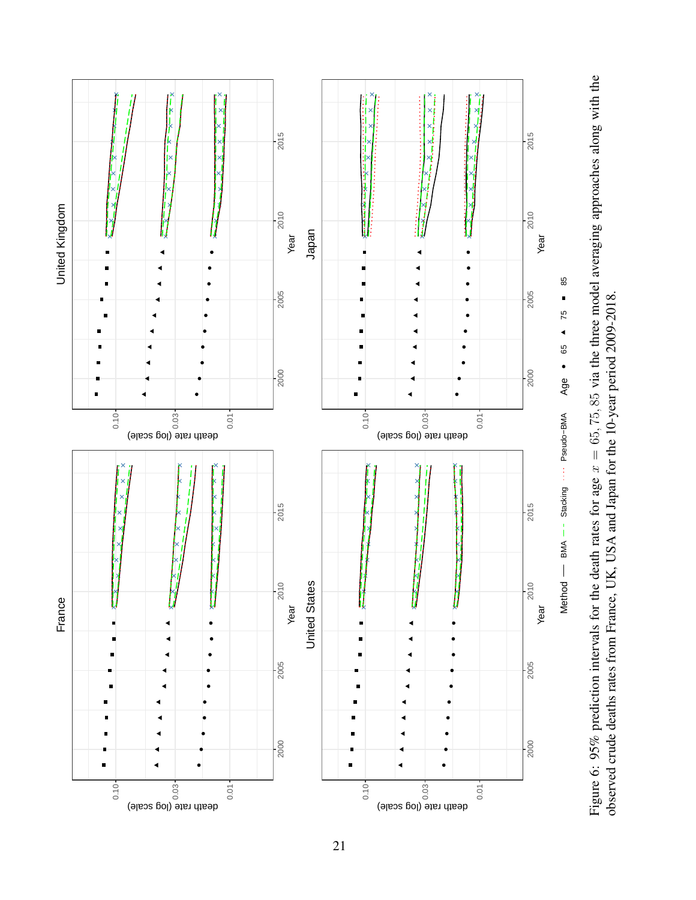<span id="page-20-0"></span>

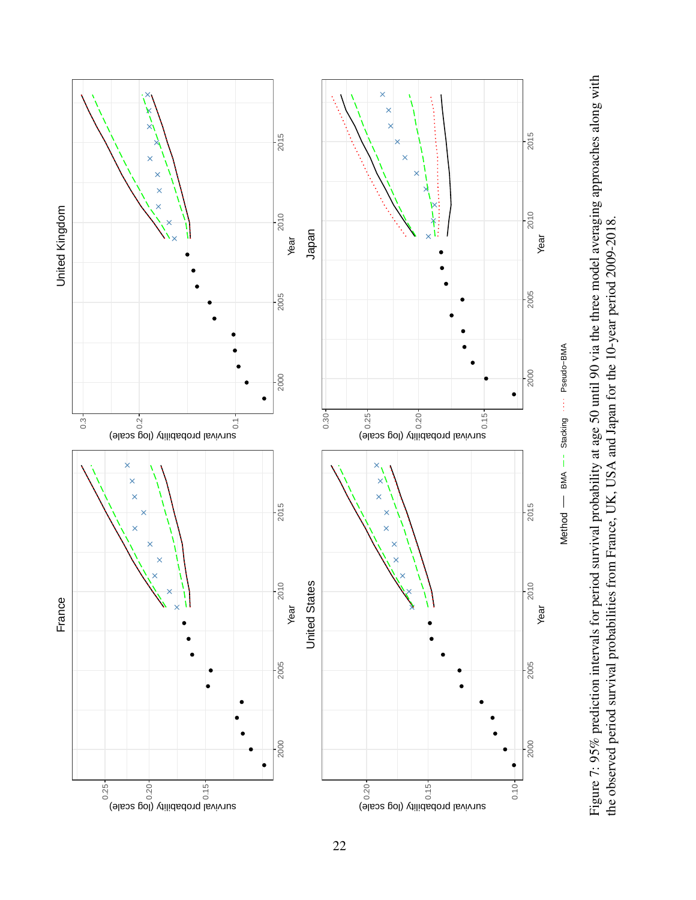<span id="page-21-0"></span>

Figure 7: 95% prediction intervals for period survival probability at age 50 until 90 via the three model averaging approaches along with Figure 7: 95% prediction intervals for period survival probability at age 50 until 90 via the three model averaging approaches along with<br>the observed period survival probabilities from France, UK, USA and Japan for the 10 the observed period survival probabilities from France, UK, USA and Japan for the 10-year period 2009-2018.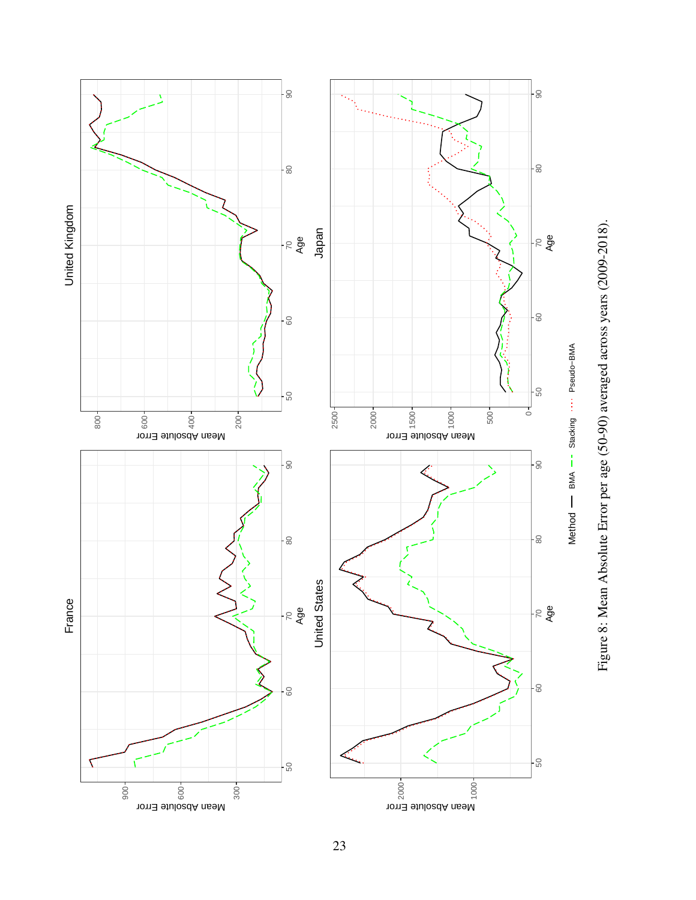<span id="page-22-0"></span>

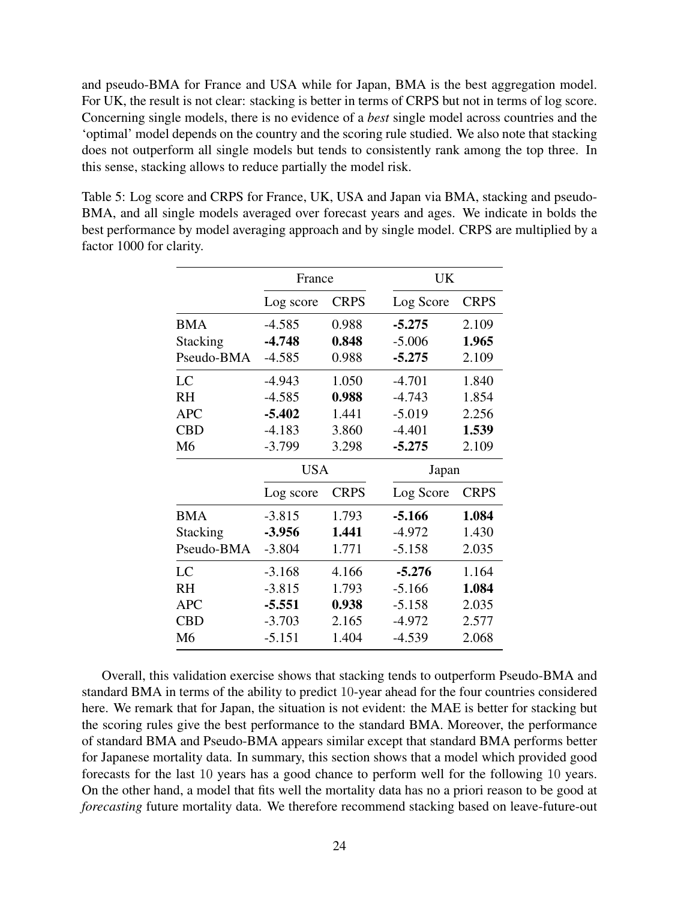and pseudo-BMA for France and USA while for Japan, BMA is the best aggregation model. For UK, the result is not clear: stacking is better in terms of CRPS but not in terms of log score. Concerning single models, there is no evidence of a *best* single model across countries and the 'optimal' model depends on the country and the scoring rule studied. We also note that stacking does not outperform all single models but tends to consistently rank among the top three. In this sense, stacking allows to reduce partially the model risk.

<span id="page-23-0"></span>Table 5: Log score and CRPS for France, UK, USA and Japan via BMA, stacking and pseudo-BMA, and all single models averaged over forecast years and ages. We indicate in bolds the best performance by model averaging approach and by single model. CRPS are multiplied by a factor 1000 for clarity.

|                 | France     |             | UK        |             |  |  |
|-----------------|------------|-------------|-----------|-------------|--|--|
|                 | Log score  | <b>CRPS</b> | Log Score | <b>CRPS</b> |  |  |
| <b>BMA</b>      | $-4.585$   | 0.988       | $-5.275$  | 2.109       |  |  |
| <b>Stacking</b> | $-4.748$   | 0.848       | $-5.006$  | 1.965       |  |  |
| Pseudo-BMA      | $-4.585$   | 0.988       | $-5.275$  | 2.109       |  |  |
| LC              | $-4.943$   | 1.050       | $-4.701$  | 1.840       |  |  |
| <b>RH</b>       | $-4.585$   | 0.988       | $-4.743$  | 1.854       |  |  |
| <b>APC</b>      | $-5.402$   | 1.441       | $-5.019$  | 2.256       |  |  |
| <b>CBD</b>      | $-4.183$   | 3.860       | $-4.401$  | 1.539       |  |  |
| M6              | $-3.799$   | 3.298       | $-5.275$  | 2.109       |  |  |
|                 | <b>USA</b> |             | Japan     |             |  |  |
|                 | Log score  | <b>CRPS</b> | Log Score | <b>CRPS</b> |  |  |
| <b>BMA</b>      | $-3.815$   | 1.793       | $-5.166$  | 1.084       |  |  |
| <b>Stacking</b> | $-3.956$   | 1.441       | $-4.972$  | 1.430       |  |  |
| Pseudo-BMA      | $-3.804$   | 1.771       | $-5.158$  | 2.035       |  |  |
| LC              | $-3.168$   | 4.166       | $-5.276$  | 1.164       |  |  |
| <b>RH</b>       | $-3.815$   | 1.793       | $-5.166$  | 1.084       |  |  |
| <b>APC</b>      | $-5.551$   | 0.938       | $-5.158$  | 2.035       |  |  |
| <b>CBD</b>      | $-3.703$   | 2.165       | $-4.972$  | 2.577       |  |  |
| M6              | $-5.151$   | 1.404       | $-4.539$  | 2.068       |  |  |

Overall, this validation exercise shows that stacking tends to outperform Pseudo-BMA and standard BMA in terms of the ability to predict 10-year ahead for the four countries considered here. We remark that for Japan, the situation is not evident: the MAE is better for stacking but the scoring rules give the best performance to the standard BMA. Moreover, the performance of standard BMA and Pseudo-BMA appears similar except that standard BMA performs better for Japanese mortality data. In summary, this section shows that a model which provided good forecasts for the last 10 years has a good chance to perform well for the following 10 years. On the other hand, a model that fits well the mortality data has no a priori reason to be good at *forecasting* future mortality data. We therefore recommend stacking based on leave-future-out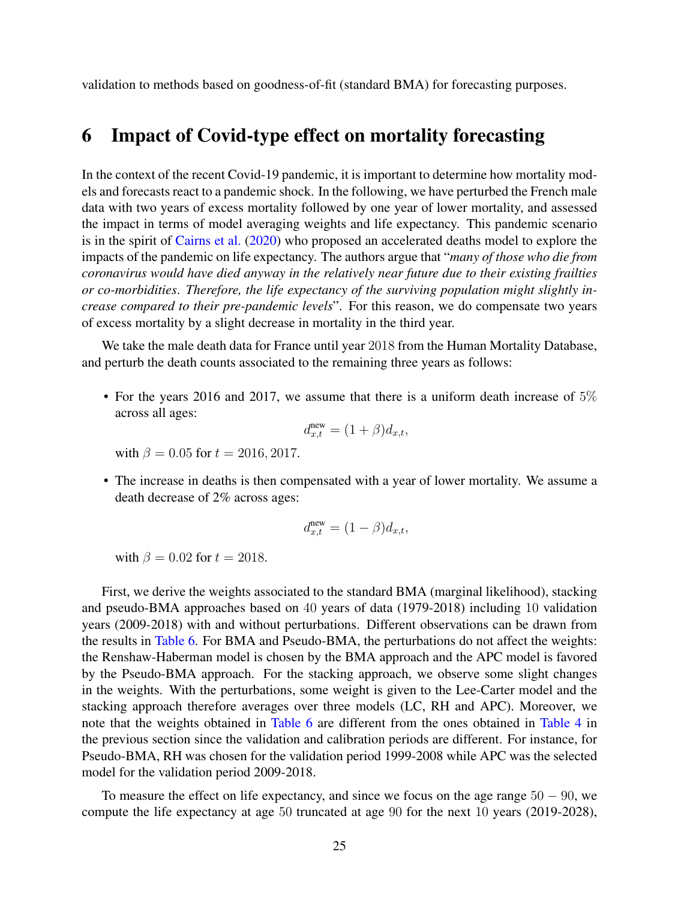validation to methods based on goodness-of-fit (standard BMA) for forecasting purposes.

# <span id="page-24-0"></span>6 Impact of Covid-type effect on mortality forecasting

In the context of the recent Covid-19 pandemic, it is important to determine how mortality models and forecasts react to a pandemic shock. In the following, we have perturbed the French male data with two years of excess mortality followed by one year of lower mortality, and assessed the impact in terms of model averaging weights and life expectancy. This pandemic scenario is in the spirit of [Cairns et al.](#page-28-10) [\(2020\)](#page-28-10) who proposed an accelerated deaths model to explore the impacts of the pandemic on life expectancy. The authors argue that "*many of those who die from coronavirus would have died anyway in the relatively near future due to their existing frailties or co-morbidities*. *Therefore, the life expectancy of the surviving population might slightly increase compared to their pre-pandemic levels*". For this reason, we do compensate two years of excess mortality by a slight decrease in mortality in the third year.

We take the male death data for France until year 2018 from the Human Mortality Database, and perturb the death counts associated to the remaining three years as follows:

• For the years 2016 and 2017, we assume that there is a uniform death increase of  $5\%$ across all ages:

$$
d_{x,t}^{\text{new}} = (1+\beta)d_{x,t},
$$

with  $\beta = 0.05$  for  $t = 2016, 2017$ .

• The increase in deaths is then compensated with a year of lower mortality. We assume a death decrease of 2% across ages:

$$
d_{x,t}^{\text{new}} = (1 - \beta) d_{x,t},
$$

with  $\beta = 0.02$  for  $t = 2018$ .

First, we derive the weights associated to the standard BMA (marginal likelihood), stacking and pseudo-BMA approaches based on 40 years of data (1979-2018) including 10 validation years (2009-2018) with and without perturbations. Different observations can be drawn from the results in [Table 6.](#page-25-1) For BMA and Pseudo-BMA, the perturbations do not affect the weights: the Renshaw-Haberman model is chosen by the BMA approach and the APC model is favored by the Pseudo-BMA approach. For the stacking approach, we observe some slight changes in the weights. With the perturbations, some weight is given to the Lee-Carter model and the stacking approach therefore averages over three models (LC, RH and APC). Moreover, we note that the weights obtained in [Table 6](#page-25-1) are different from the ones obtained in [Table 4](#page-18-0) in the previous section since the validation and calibration periods are different. For instance, for Pseudo-BMA, RH was chosen for the validation period 1999-2008 while APC was the selected model for the validation period 2009-2018.

To measure the effect on life expectancy, and since we focus on the age range  $50 - 90$ , we compute the life expectancy at age 50 truncated at age 90 for the next 10 years (2019-2028),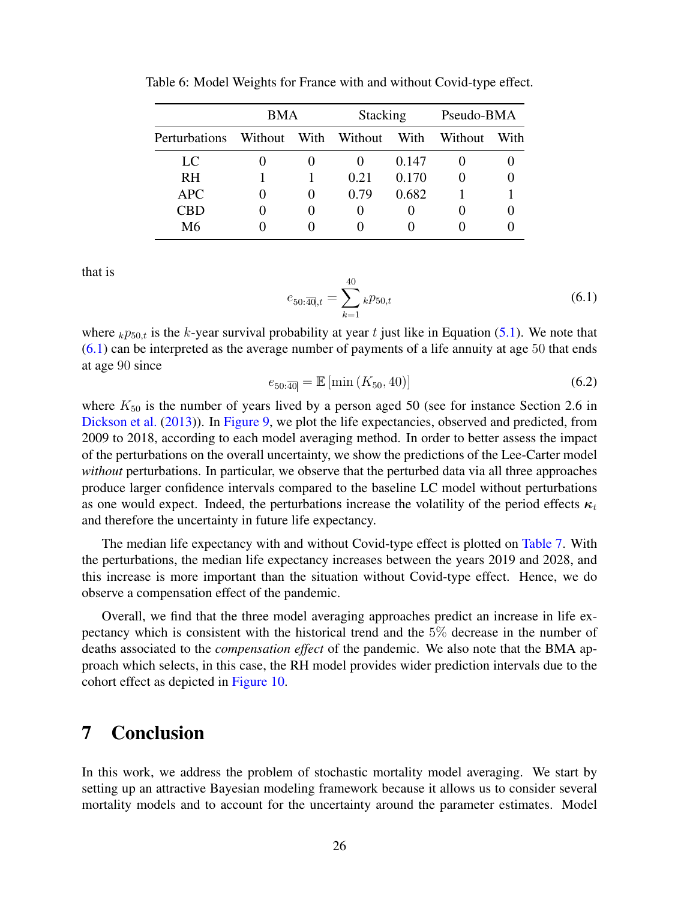|               | <b>BMA</b> |  | Stacking             |       | Pseudo-BMA |      |
|---------------|------------|--|----------------------|-------|------------|------|
| Perturbations |            |  | Without With Without | With  | Without    | With |
| LC.           |            |  |                      | 0.147 |            |      |
| <b>RH</b>     |            |  | 0.21                 | 0.170 |            |      |
| <b>APC</b>    |            |  | 0.79                 | 0.682 |            |      |
| CBD           |            |  |                      |       |            |      |
| M6            |            |  |                      |       |            |      |

<span id="page-25-1"></span>Table 6: Model Weights for France with and without Covid-type effect.

that is

<span id="page-25-2"></span>
$$
e_{50:\overline{40},t} = \sum_{k=1}^{40} k p_{50,t} \tag{6.1}
$$

where  $k p_{50,t}$  is the k-year survival probability at year t just like in Equation [\(5.1\)](#page-19-0). We note that  $(6.1)$  can be interpreted as the average number of payments of a life annuity at age 50 that ends at age 90 since

$$
e_{50:\overline{40}} = \mathbb{E}\left[\min\left(K_{50}, 40\right)\right] \tag{6.2}
$$

where  $K_{50}$  is the number of years lived by a person aged 50 (see for instance Section 2.6 in [Dickson et al.](#page-29-15) [\(2013\)](#page-29-15)). In [Figure 9,](#page-26-0) we plot the life expectancies, observed and predicted, from 2009 to 2018, according to each model averaging method. In order to better assess the impact of the perturbations on the overall uncertainty, we show the predictions of the Lee-Carter model *without* perturbations. In particular, we observe that the perturbed data via all three approaches produce larger confidence intervals compared to the baseline LC model without perturbations as one would expect. Indeed, the perturbations increase the volatility of the period effects  $\kappa_t$ and therefore the uncertainty in future life expectancy.

The median life expectancy with and without Covid-type effect is plotted on [Table 7.](#page-27-0) With the perturbations, the median life expectancy increases between the years 2019 and 2028, and this increase is more important than the situation without Covid-type effect. Hence, we do observe a compensation effect of the pandemic.

Overall, we find that the three model averaging approaches predict an increase in life expectancy which is consistent with the historical trend and the 5% decrease in the number of deaths associated to the *compensation effect* of the pandemic. We also note that the BMA approach which selects, in this case, the RH model provides wider prediction intervals due to the cohort effect as depicted in [Figure 10.](#page-27-1)

# <span id="page-25-0"></span>7 Conclusion

In this work, we address the problem of stochastic mortality model averaging. We start by setting up an attractive Bayesian modeling framework because it allows us to consider several mortality models and to account for the uncertainty around the parameter estimates. Model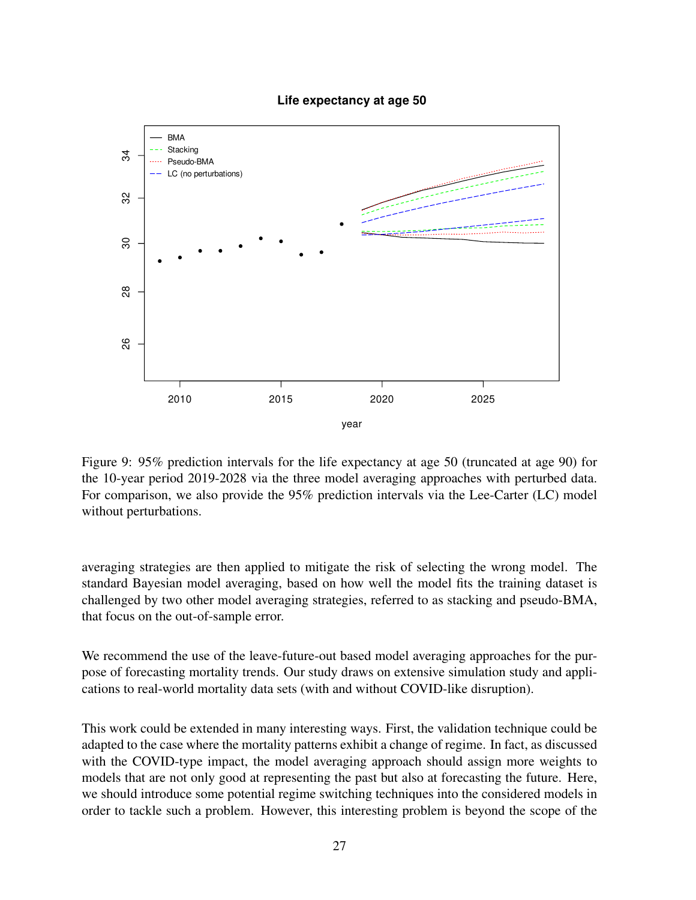<span id="page-26-0"></span>

#### **Life expectancy at age 50**

Figure 9: 95% prediction intervals for the life expectancy at age 50 (truncated at age 90) for the 10-year period 2019-2028 via the three model averaging approaches with perturbed data. For comparison, we also provide the 95% prediction intervals via the Lee-Carter (LC) model without perturbations.

averaging strategies are then applied to mitigate the risk of selecting the wrong model. The standard Bayesian model averaging, based on how well the model fits the training dataset is challenged by two other model averaging strategies, referred to as stacking and pseudo-BMA, that focus on the out-of-sample error.

We recommend the use of the leave-future-out based model averaging approaches for the purpose of forecasting mortality trends. Our study draws on extensive simulation study and applications to real-world mortality data sets (with and without COVID-like disruption).

This work could be extended in many interesting ways. First, the validation technique could be adapted to the case where the mortality patterns exhibit a change of regime. In fact, as discussed with the COVID-type impact, the model averaging approach should assign more weights to models that are not only good at representing the past but also at forecasting the future. Here, we should introduce some potential regime switching techniques into the considered models in order to tackle such a problem. However, this interesting problem is beyond the scope of the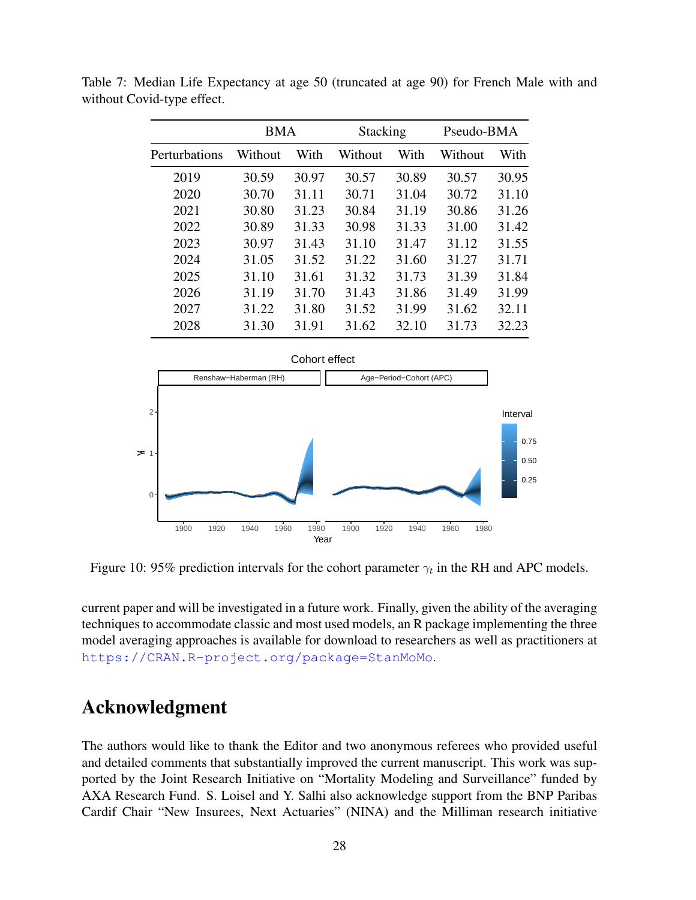|               | BMA     |       | <b>Stacking</b> |       | Pseudo-BMA |       |
|---------------|---------|-------|-----------------|-------|------------|-------|
| Perturbations | Without | With  | Without         | With  | Without    | With  |
| 2019          | 30.59   | 30.97 | 30.57           | 30.89 | 30.57      | 30.95 |
| 2020          | 30.70   | 31.11 | 30.71           | 31.04 | 30.72      | 31.10 |
| 2021          | 30.80   | 31.23 | 30.84           | 31.19 | 30.86      | 31.26 |
| 2022          | 30.89   | 31.33 | 30.98           | 31.33 | 31.00      | 31.42 |
| 2023          | 30.97   | 31.43 | 31.10           | 31.47 | 31.12      | 31.55 |
| 2024          | 31.05   | 31.52 | 31.22           | 31.60 | 31.27      | 31.71 |
| 2025          | 31.10   | 31.61 | 31.32           | 31.73 | 31.39      | 31.84 |
| 2026          | 31.19   | 31.70 | 31.43           | 31.86 | 31.49      | 31.99 |
| 2027          | 31.22   | 31.80 | 31.52           | 31.99 | 31.62      | 32.11 |
| 2028          | 31.30   | 31.91 | 31.62           | 32.10 | 31.73      | 32.23 |

<span id="page-27-0"></span>Table 7: Median Life Expectancy at age 50 (truncated at age 90) for French Male with and without Covid-type effect.

<span id="page-27-1"></span>

Figure 10: 95% prediction intervals for the cohort parameter  $\gamma_t$  in the RH and APC models.

current paper and will be investigated in a future work. Finally, given the ability of the averaging techniques to accommodate classic and most used models, an R package implementing the three model averaging approaches is available for download to researchers as well as practitioners at <https://CRAN.R-project.org/package=StanMoMo>.

# Acknowledgment

The authors would like to thank the Editor and two anonymous referees who provided useful and detailed comments that substantially improved the current manuscript. This work was supported by the Joint Research Initiative on "Mortality Modeling and Surveillance" funded by AXA Research Fund. S. Loisel and Y. Salhi also acknowledge support from the BNP Paribas Cardif Chair "New Insurees, Next Actuaries" (NINA) and the Milliman research initiative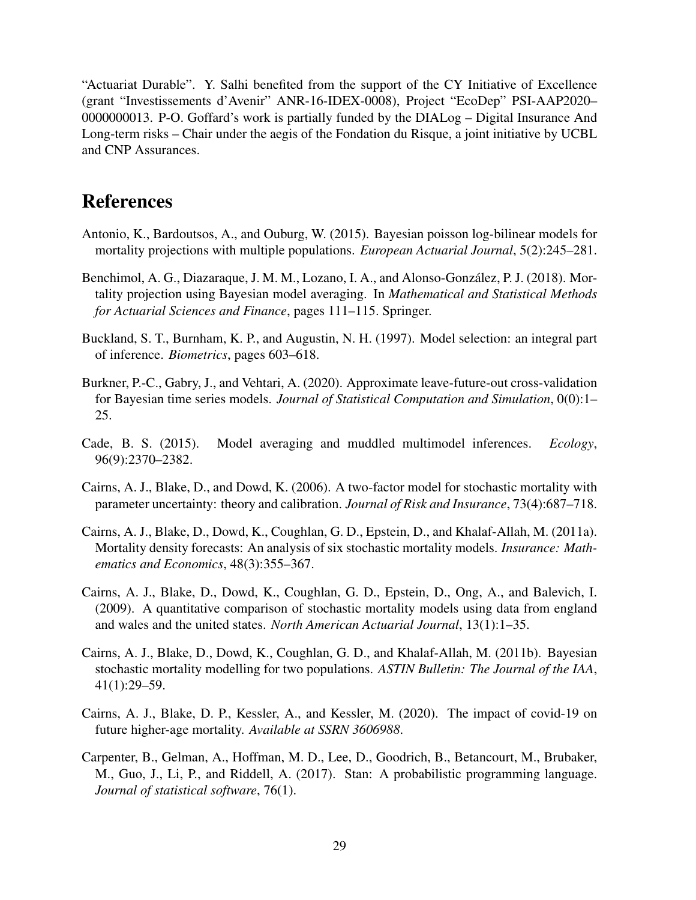"Actuariat Durable". Y. Salhi benefited from the support of the CY Initiative of Excellence (grant "Investissements d'Avenir" ANR-16-IDEX-0008), Project "EcoDep" PSI-AAP2020– 0000000013. P-O. Goffard's work is partially funded by the DIALog – Digital Insurance And Long-term risks – Chair under the aegis of the Fondation du Risque, a joint initiative by UCBL and CNP Assurances.

# References

- <span id="page-28-3"></span>Antonio, K., Bardoutsos, A., and Ouburg, W. (2015). Bayesian poisson log-bilinear models for mortality projections with multiple populations. *European Actuarial Journal*, 5(2):245–281.
- <span id="page-28-6"></span>Benchimol, A. G., Diazaraque, J. M. M., Lozano, I. A., and Alonso-González, P. J. (2018). Mortality projection using Bayesian model averaging. In *Mathematical and Statistical Methods for Actuarial Sciences and Finance*, pages 111–115. Springer.
- <span id="page-28-4"></span>Buckland, S. T., Burnham, K. P., and Augustin, N. H. (1997). Model selection: an integral part of inference. *Biometrics*, pages 603–618.
- <span id="page-28-9"></span>Burkner, P.-C., Gabry, J., and Vehtari, A. (2020). Approximate leave-future-out cross-validation for Bayesian time series models. *Journal of Statistical Computation and Simulation*, 0(0):1– 25.
- <span id="page-28-5"></span>Cade, B. S. (2015). Model averaging and muddled multimodel inferences. *Ecology*, 96(9):2370–2382.
- <span id="page-28-0"></span>Cairns, A. J., Blake, D., and Dowd, K. (2006). A two-factor model for stochastic mortality with parameter uncertainty: theory and calibration. *Journal of Risk and Insurance*, 73(4):687–718.
- <span id="page-28-7"></span>Cairns, A. J., Blake, D., Dowd, K., Coughlan, G. D., Epstein, D., and Khalaf-Allah, M. (2011a). Mortality density forecasts: An analysis of six stochastic mortality models. *Insurance: Mathematics and Economics*, 48(3):355–367.
- <span id="page-28-1"></span>Cairns, A. J., Blake, D., Dowd, K., Coughlan, G. D., Epstein, D., Ong, A., and Balevich, I. (2009). A quantitative comparison of stochastic mortality models using data from england and wales and the united states. *North American Actuarial Journal*, 13(1):1–35.
- <span id="page-28-2"></span>Cairns, A. J., Blake, D., Dowd, K., Coughlan, G. D., and Khalaf-Allah, M. (2011b). Bayesian stochastic mortality modelling for two populations. *ASTIN Bulletin: The Journal of the IAA*, 41(1):29–59.
- <span id="page-28-10"></span>Cairns, A. J., Blake, D. P., Kessler, A., and Kessler, M. (2020). The impact of covid-19 on future higher-age mortality. *Available at SSRN 3606988*.
- <span id="page-28-8"></span>Carpenter, B., Gelman, A., Hoffman, M. D., Lee, D., Goodrich, B., Betancourt, M., Brubaker, M., Guo, J., Li, P., and Riddell, A. (2017). Stan: A probabilistic programming language. *Journal of statistical software*, 76(1).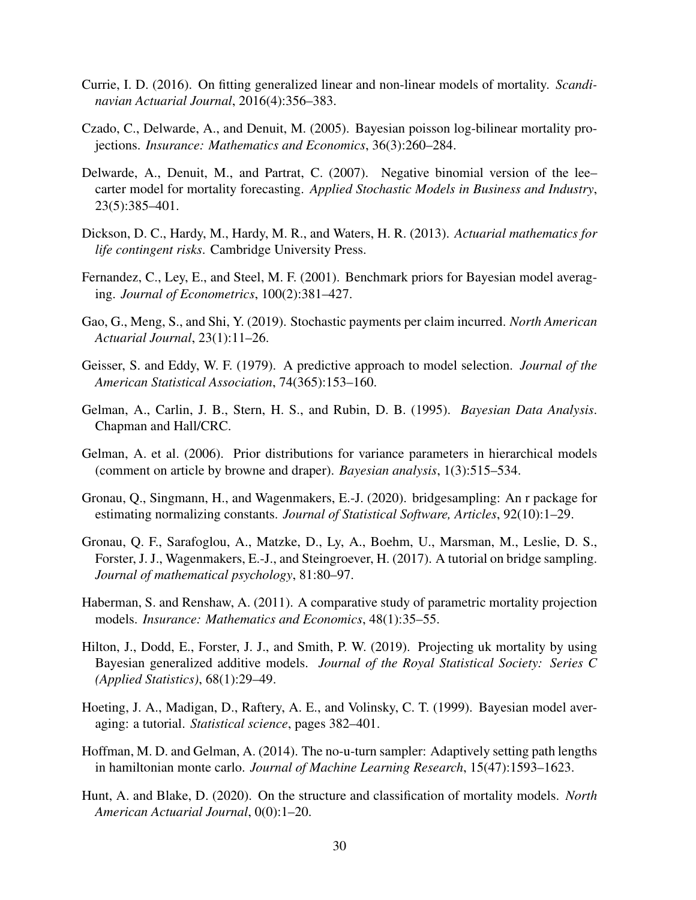- <span id="page-29-1"></span>Currie, I. D. (2016). On fitting generalized linear and non-linear models of mortality. *Scandinavian Actuarial Journal*, 2016(4):356–383.
- <span id="page-29-2"></span>Czado, C., Delwarde, A., and Denuit, M. (2005). Bayesian poisson log-bilinear mortality projections. *Insurance: Mathematics and Economics*, 36(3):260–284.
- <span id="page-29-4"></span>Delwarde, A., Denuit, M., and Partrat, C. (2007). Negative binomial version of the lee– carter model for mortality forecasting. *Applied Stochastic Models in Business and Industry*, 23(5):385–401.
- <span id="page-29-15"></span>Dickson, D. C., Hardy, M., Hardy, M. R., and Waters, H. R. (2013). *Actuarial mathematics for life contingent risks*. Cambridge University Press.
- <span id="page-29-13"></span>Fernandez, C., Ley, E., and Steel, M. F. (2001). Benchmark priors for Bayesian model averaging. *Journal of Econometrics*, 100(2):381–427.
- <span id="page-29-9"></span>Gao, G., Meng, S., and Shi, Y. (2019). Stochastic payments per claim incurred. *North American Actuarial Journal*, 23(1):11–26.
- <span id="page-29-14"></span>Geisser, S. and Eddy, W. F. (1979). A predictive approach to model selection. *Journal of the American Statistical Association*, 74(365):153–160.
- <span id="page-29-5"></span>Gelman, A., Carlin, J. B., Stern, H. S., and Rubin, D. B. (1995). *Bayesian Data Analysis*. Chapman and Hall/CRC.
- <span id="page-29-6"></span>Gelman, A. et al. (2006). Prior distributions for variance parameters in hierarchical models (comment on article by browne and draper). *Bayesian analysis*, 1(3):515–534.
- <span id="page-29-12"></span>Gronau, Q., Singmann, H., and Wagenmakers, E.-J. (2020). bridgesampling: An r package for estimating normalizing constants. *Journal of Statistical Software, Articles*, 92(10):1–29.
- <span id="page-29-11"></span>Gronau, Q. F., Sarafoglou, A., Matzke, D., Ly, A., Boehm, U., Marsman, M., Leslie, D. S., Forster, J. J., Wagenmakers, E.-J., and Steingroever, H. (2017). A tutorial on bridge sampling. *Journal of mathematical psychology*, 81:80–97.
- <span id="page-29-7"></span>Haberman, S. and Renshaw, A. (2011). A comparative study of parametric mortality projection models. *Insurance: Mathematics and Economics*, 48(1):35–55.
- <span id="page-29-10"></span>Hilton, J., Dodd, E., Forster, J. J., and Smith, P. W. (2019). Projecting uk mortality by using Bayesian generalized additive models. *Journal of the Royal Statistical Society: Series C (Applied Statistics)*, 68(1):29–49.
- <span id="page-29-3"></span>Hoeting, J. A., Madigan, D., Raftery, A. E., and Volinsky, C. T. (1999). Bayesian model averaging: a tutorial. *Statistical science*, pages 382–401.
- <span id="page-29-8"></span>Hoffman, M. D. and Gelman, A. (2014). The no-u-turn sampler: Adaptively setting path lengths in hamiltonian monte carlo. *Journal of Machine Learning Research*, 15(47):1593–1623.
- <span id="page-29-0"></span>Hunt, A. and Blake, D. (2020). On the structure and classification of mortality models. *North American Actuarial Journal*, 0(0):1–20.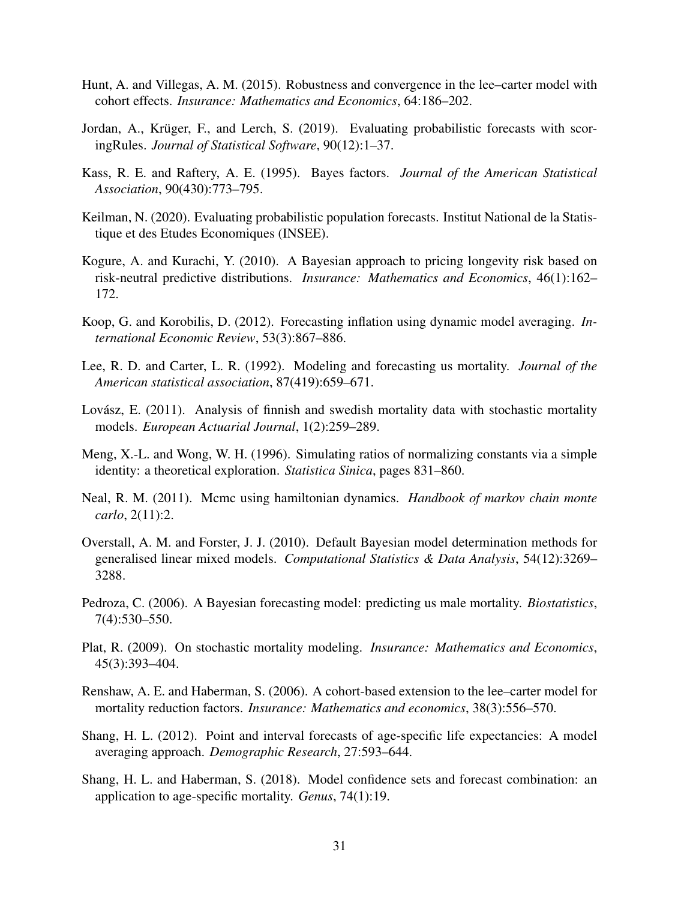- <span id="page-30-10"></span>Hunt, A. and Villegas, A. M. (2015). Robustness and convergence in the lee–carter model with cohort effects. *Insurance: Mathematics and Economics*, 64:186–202.
- <span id="page-30-15"></span>Jordan, A., Krüger, F., and Lerch, S. (2019). Evaluating probabilistic forecasts with scoringRules. *Journal of Statistical Software*, 90(12):1–37.
- <span id="page-30-5"></span>Kass, R. E. and Raftery, A. E. (1995). Bayes factors. *Journal of the American Statistical Association*, 90(430):773–795.
- <span id="page-30-14"></span>Keilman, N. (2020). Evaluating probabilistic population forecasts. Institut National de la Statistique et des Etudes Economiques (INSEE).
- <span id="page-30-4"></span>Kogure, A. and Kurachi, Y. (2010). A Bayesian approach to pricing longevity risk based on risk-neutral predictive distributions. *Insurance: Mathematics and Economics*, 46(1):162– 172.
- <span id="page-30-6"></span>Koop, G. and Korobilis, D. (2012). Forecasting inflation using dynamic model averaging. *International Economic Review*, 53(3):867–886.
- <span id="page-30-0"></span>Lee, R. D. and Carter, L. R. (1992). Modeling and forecasting us mortality. *Journal of the American statistical association*, 87(419):659–671.
- <span id="page-30-9"></span>Lovász, E. (2011). Analysis of finnish and swedish mortality data with stochastic mortality models. *European Actuarial Journal*, 1(2):259–289.
- <span id="page-30-12"></span>Meng, X.-L. and Wong, W. H. (1996). Simulating ratios of normalizing constants via a simple identity: a theoretical exploration. *Statistica Sinica*, pages 831–860.
- <span id="page-30-11"></span>Neal, R. M. (2011). Mcmc using hamiltonian dynamics. *Handbook of markov chain monte carlo*, 2(11):2.
- <span id="page-30-13"></span>Overstall, A. M. and Forster, J. J. (2010). Default Bayesian model determination methods for generalised linear mixed models. *Computational Statistics & Data Analysis*, 54(12):3269– 3288.
- <span id="page-30-3"></span>Pedroza, C. (2006). A Bayesian forecasting model: predicting us male mortality. *Biostatistics*, 7(4):530–550.
- <span id="page-30-2"></span>Plat, R. (2009). On stochastic mortality modeling. *Insurance: Mathematics and Economics*, 45(3):393–404.
- <span id="page-30-1"></span>Renshaw, A. E. and Haberman, S. (2006). A cohort-based extension to the lee–carter model for mortality reduction factors. *Insurance: Mathematics and economics*, 38(3):556–570.
- <span id="page-30-7"></span>Shang, H. L. (2012). Point and interval forecasts of age-specific life expectancies: A model averaging approach. *Demographic Research*, 27:593–644.
- <span id="page-30-8"></span>Shang, H. L. and Haberman, S. (2018). Model confidence sets and forecast combination: an application to age-specific mortality. *Genus*, 74(1):19.